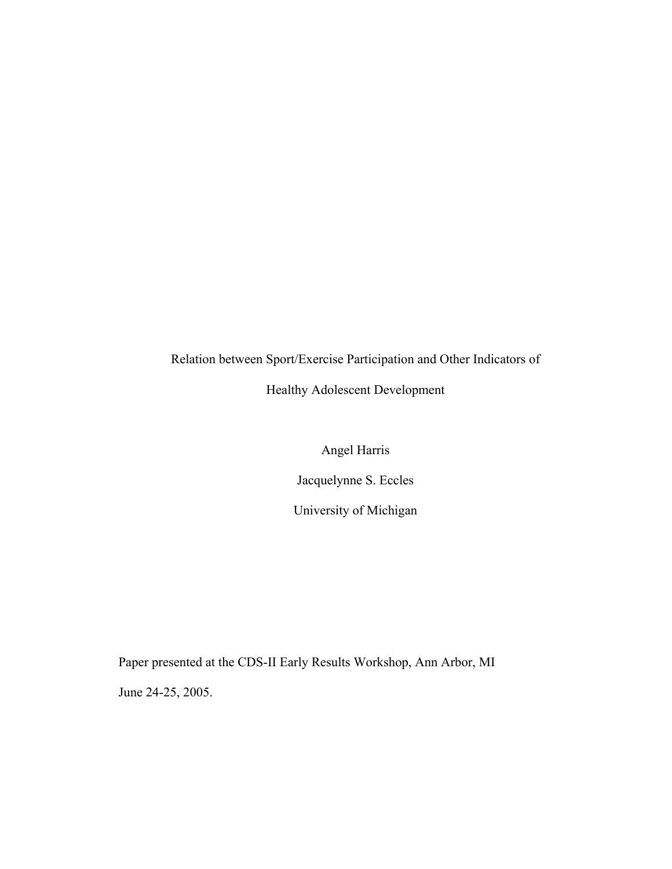# Relation between Sport/Exercise Participation and Other Indicators of

## Healthy Adolescent Development

Angel Harris

Jacquelynne S. Eccles

University of Michigan

Paper presented at the CDS-II Early Results Workshop, Ann Arbor, MI June 24-25, 2005.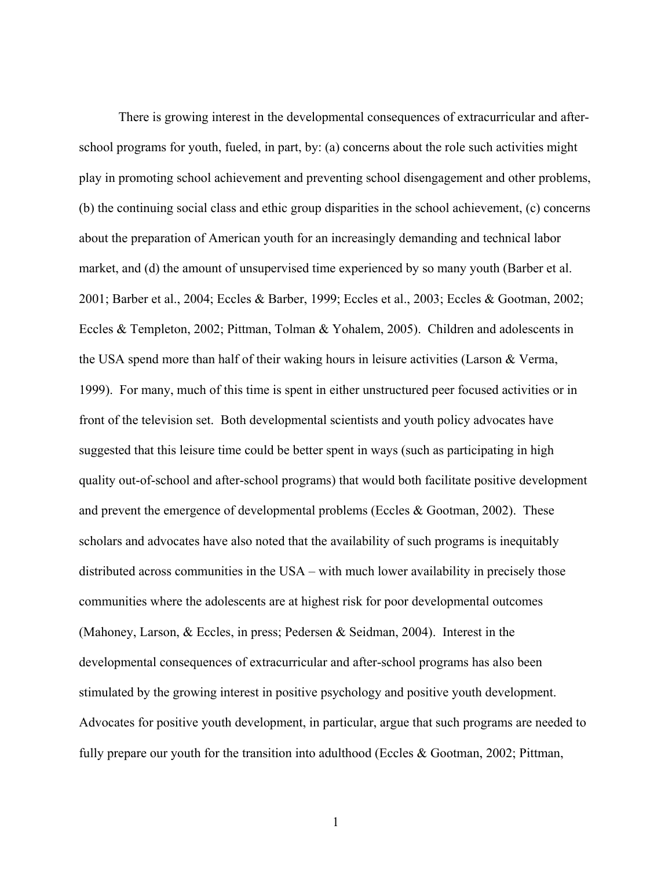There is growing interest in the developmental consequences of extracurricular and afterschool programs for youth, fueled, in part, by: (a) concerns about the role such activities might play in promoting school achievement and preventing school disengagement and other problems, (b) the continuing social class and ethic group disparities in the school achievement, (c) concerns about the preparation of American youth for an increasingly demanding and technical labor market, and (d) the amount of unsupervised time experienced by so many youth (Barber et al. 2001; Barber et al., 2004; Eccles & Barber, 1999; Eccles et al., 2003; Eccles & Gootman, 2002; Eccles & Templeton, 2002; Pittman, Tolman & Yohalem, 2005). Children and adolescents in the USA spend more than half of their waking hours in leisure activities (Larson & Verma, 1999). For many, much of this time is spent in either unstructured peer focused activities or in front of the television set. Both developmental scientists and youth policy advocates have suggested that this leisure time could be better spent in ways (such as participating in high quality out-of-school and after-school programs) that would both facilitate positive development and prevent the emergence of developmental problems (Eccles & Gootman, 2002). These scholars and advocates have also noted that the availability of such programs is inequitably distributed across communities in the USA – with much lower availability in precisely those communities where the adolescents are at highest risk for poor developmental outcomes (Mahoney, Larson, & Eccles, in press; Pedersen & Seidman, 2004). Interest in the developmental consequences of extracurricular and after-school programs has also been stimulated by the growing interest in positive psychology and positive youth development. Advocates for positive youth development, in particular, argue that such programs are needed to fully prepare our youth for the transition into adulthood (Eccles & Gootman, 2002; Pittman,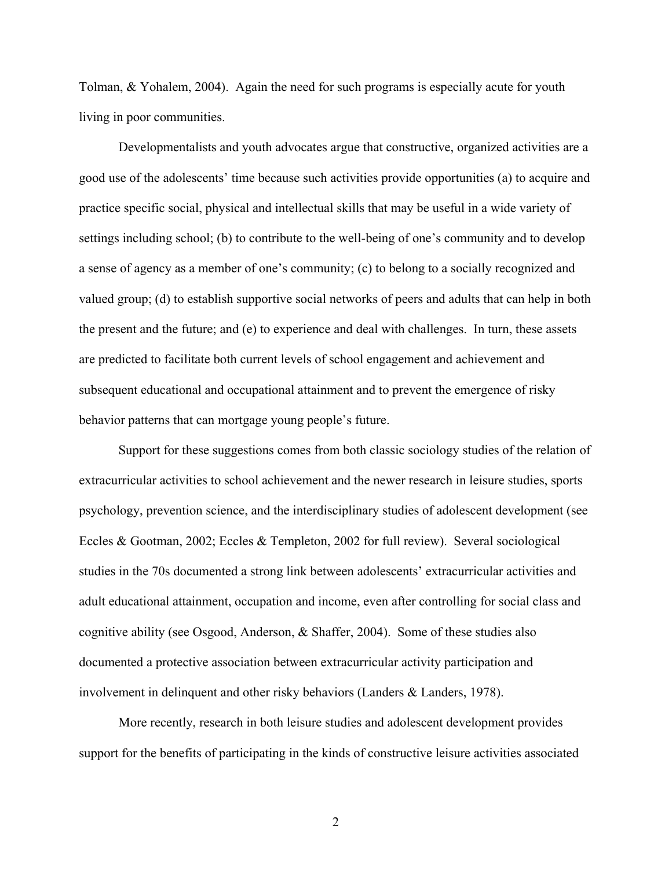Tolman, & Yohalem, 2004). Again the need for such programs is especially acute for youth living in poor communities.

Developmentalists and youth advocates argue that constructive, organized activities are a good use of the adolescents' time because such activities provide opportunities (a) to acquire and practice specific social, physical and intellectual skills that may be useful in a wide variety of settings including school; (b) to contribute to the well-being of one's community and to develop a sense of agency as a member of one's community; (c) to belong to a socially recognized and valued group; (d) to establish supportive social networks of peers and adults that can help in both the present and the future; and (e) to experience and deal with challenges. In turn, these assets are predicted to facilitate both current levels of school engagement and achievement and subsequent educational and occupational attainment and to prevent the emergence of risky behavior patterns that can mortgage young people's future.

Support for these suggestions comes from both classic sociology studies of the relation of extracurricular activities to school achievement and the newer research in leisure studies, sports psychology, prevention science, and the interdisciplinary studies of adolescent development (see Eccles & Gootman, 2002; Eccles & Templeton, 2002 for full review). Several sociological studies in the 70s documented a strong link between adolescents' extracurricular activities and adult educational attainment, occupation and income, even after controlling for social class and cognitive ability (see Osgood, Anderson, & Shaffer, 2004). Some of these studies also documented a protective association between extracurricular activity participation and involvement in delinquent and other risky behaviors (Landers & Landers, 1978).

More recently, research in both leisure studies and adolescent development provides support for the benefits of participating in the kinds of constructive leisure activities associated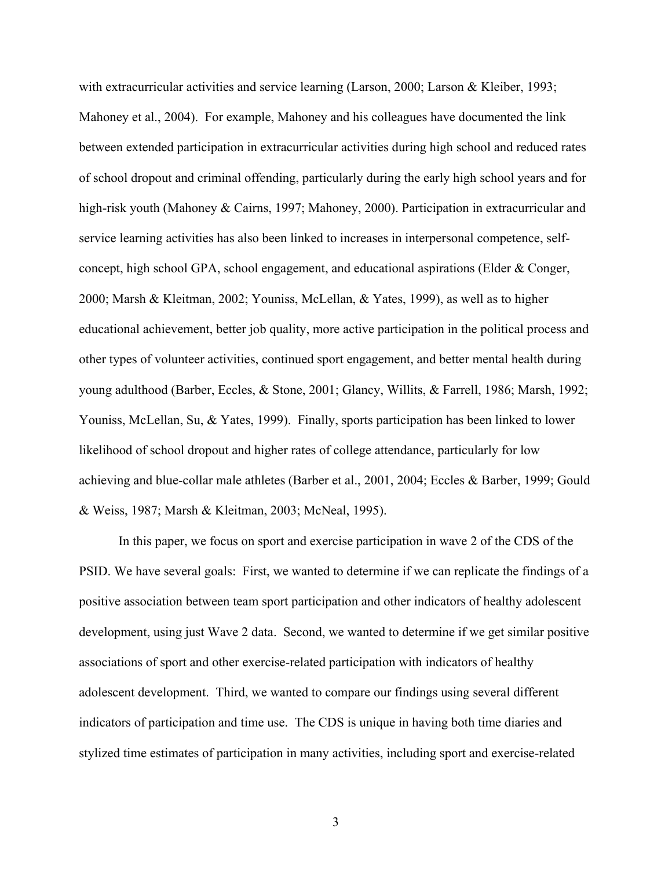with extracurricular activities and service learning (Larson, 2000; Larson & Kleiber, 1993; Mahoney et al., 2004). For example, Mahoney and his colleagues have documented the link between extended participation in extracurricular activities during high school and reduced rates of school dropout and criminal offending, particularly during the early high school years and for high-risk youth (Mahoney & Cairns, 1997; Mahoney, 2000). Participation in extracurricular and service learning activities has also been linked to increases in interpersonal competence, selfconcept, high school GPA, school engagement, and educational aspirations (Elder & Conger, 2000; Marsh & Kleitman, 2002; Youniss, McLellan, & Yates, 1999), as well as to higher educational achievement, better job quality, more active participation in the political process and other types of volunteer activities, continued sport engagement, and better mental health during young adulthood (Barber, Eccles, & Stone, 2001; Glancy, Willits, & Farrell, 1986; Marsh, 1992; Youniss, McLellan, Su, & Yates, 1999). Finally, sports participation has been linked to lower likelihood of school dropout and higher rates of college attendance, particularly for low achieving and blue-collar male athletes (Barber et al., 2001, 2004; Eccles & Barber, 1999; Gould & Weiss, 1987; Marsh & Kleitman, 2003; McNeal, 1995).

In this paper, we focus on sport and exercise participation in wave 2 of the CDS of the PSID. We have several goals: First, we wanted to determine if we can replicate the findings of a positive association between team sport participation and other indicators of healthy adolescent development, using just Wave 2 data. Second, we wanted to determine if we get similar positive associations of sport and other exercise-related participation with indicators of healthy adolescent development. Third, we wanted to compare our findings using several different indicators of participation and time use. The CDS is unique in having both time diaries and stylized time estimates of participation in many activities, including sport and exercise-related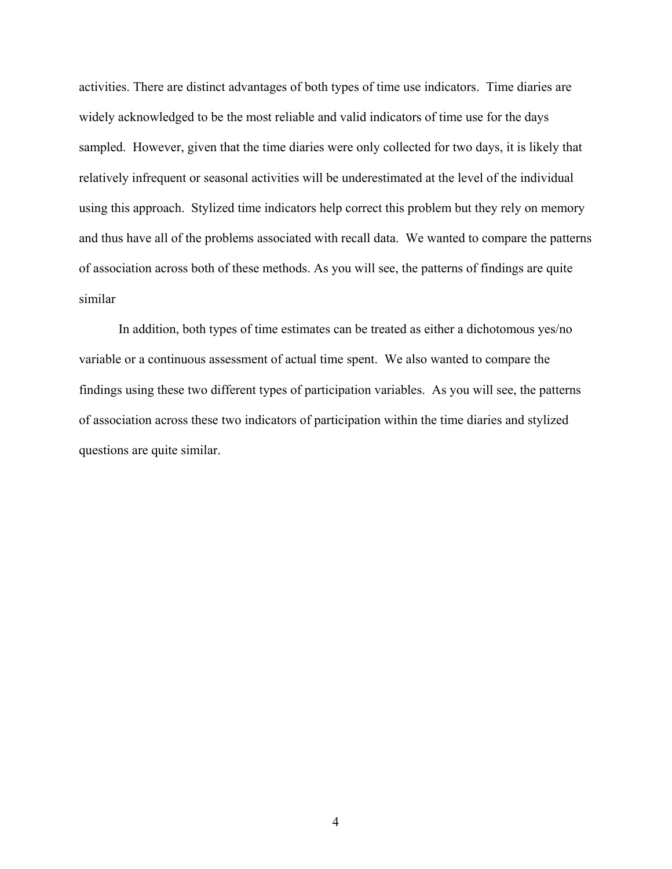activities. There are distinct advantages of both types of time use indicators. Time diaries are widely acknowledged to be the most reliable and valid indicators of time use for the days sampled. However, given that the time diaries were only collected for two days, it is likely that relatively infrequent or seasonal activities will be underestimated at the level of the individual using this approach. Stylized time indicators help correct this problem but they rely on memory and thus have all of the problems associated with recall data. We wanted to compare the patterns of association across both of these methods. As you will see, the patterns of findings are quite similar

In addition, both types of time estimates can be treated as either a dichotomous yes/no variable or a continuous assessment of actual time spent. We also wanted to compare the findings using these two different types of participation variables. As you will see, the patterns of association across these two indicators of participation within the time diaries and stylized questions are quite similar.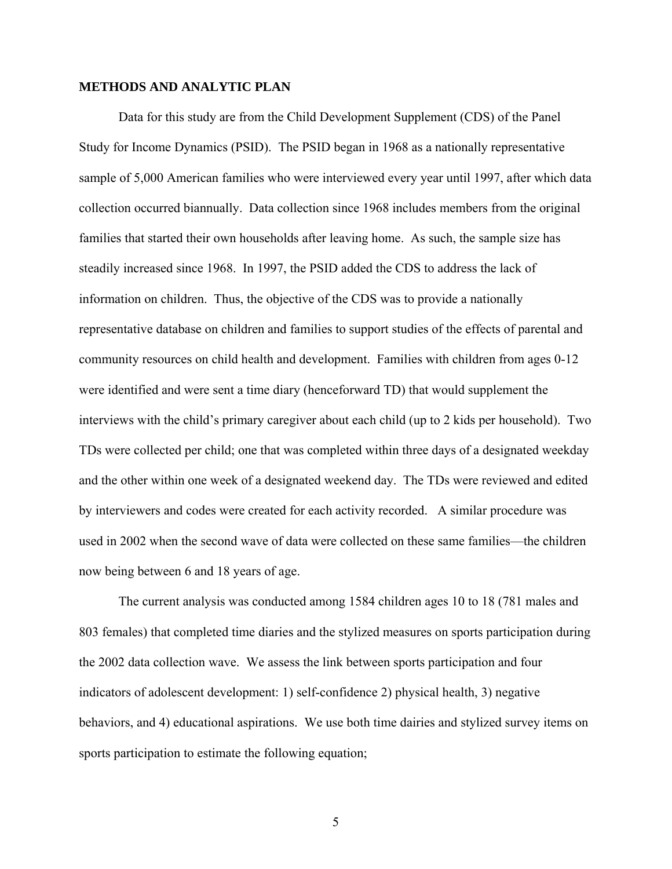## **METHODS AND ANALYTIC PLAN**

Data for this study are from the Child Development Supplement (CDS) of the Panel Study for Income Dynamics (PSID). The PSID began in 1968 as a nationally representative sample of 5,000 American families who were interviewed every year until 1997, after which data collection occurred biannually. Data collection since 1968 includes members from the original families that started their own households after leaving home. As such, the sample size has steadily increased since 1968. In 1997, the PSID added the CDS to address the lack of information on children. Thus, the objective of the CDS was to provide a nationally representative database on children and families to support studies of the effects of parental and community resources on child health and development. Families with children from ages 0-12 were identified and were sent a time diary (henceforward TD) that would supplement the interviews with the child's primary caregiver about each child (up to 2 kids per household). Two TDs were collected per child; one that was completed within three days of a designated weekday and the other within one week of a designated weekend day. The TDs were reviewed and edited by interviewers and codes were created for each activity recorded. A similar procedure was used in 2002 when the second wave of data were collected on these same families—the children now being between 6 and 18 years of age.

The current analysis was conducted among 1584 children ages 10 to 18 (781 males and 803 females) that completed time diaries and the stylized measures on sports participation during the 2002 data collection wave. We assess the link between sports participation and four indicators of adolescent development: 1) self-confidence 2) physical health, 3) negative behaviors, and 4) educational aspirations. We use both time dairies and stylized survey items on sports participation to estimate the following equation;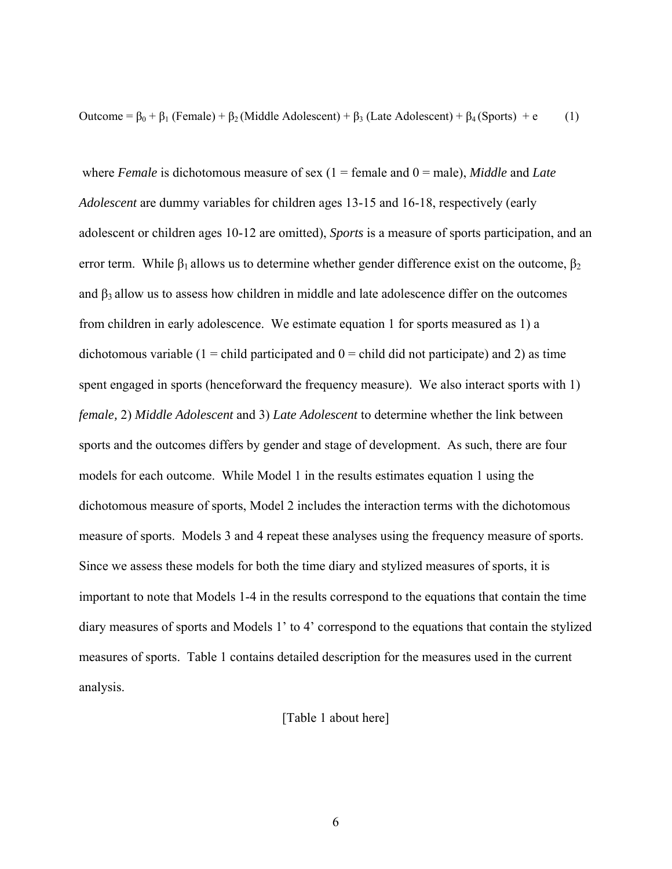Outcome =  $β_0 + β_1$  (Female) +  $β_2$  (Middle Adolescent) +  $β_3$  (Late Adolescent) +  $β_4$  (Sports) + e (1)

where *Female* is dichotomous measure of sex  $(1 =$  female and  $0 =$  male), *Middle* and *Late Adolescent* are dummy variables for children ages 13-15 and 16-18, respectively (early adolescent or children ages 10-12 are omitted), *Sports* is a measure of sports participation, and an error term. While  $\beta_1$  allows us to determine whether gender difference exist on the outcome,  $\beta_2$ and  $\beta_3$  allow us to assess how children in middle and late adolescence differ on the outcomes from children in early adolescence. We estimate equation 1 for sports measured as 1) a dichotomous variable  $(1 = \text{child participated and } 0 = \text{child did not participate})$  and 2) as time spent engaged in sports (henceforward the frequency measure). We also interact sports with 1) *female,* 2) *Middle Adolescent* and 3) *Late Adolescent* to determine whether the link between sports and the outcomes differs by gender and stage of development. As such, there are four models for each outcome. While Model 1 in the results estimates equation 1 using the dichotomous measure of sports, Model 2 includes the interaction terms with the dichotomous measure of sports. Models 3 and 4 repeat these analyses using the frequency measure of sports. Since we assess these models for both the time diary and stylized measures of sports, it is important to note that Models 1-4 in the results correspond to the equations that contain the time diary measures of sports and Models 1' to 4' correspond to the equations that contain the stylized measures of sports. Table 1 contains detailed description for the measures used in the current analysis.

## [Table 1 about here]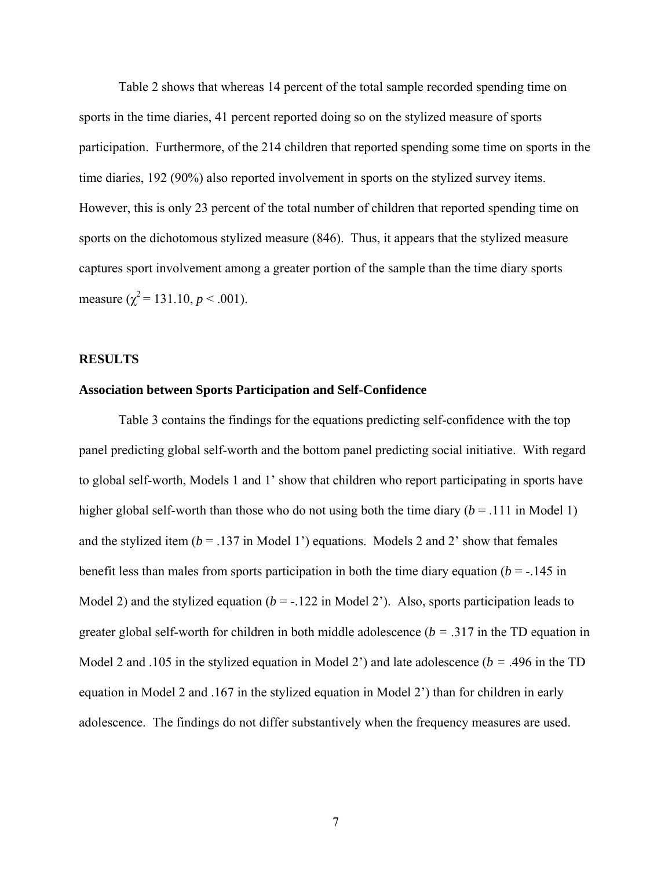Table 2 shows that whereas 14 percent of the total sample recorded spending time on sports in the time diaries, 41 percent reported doing so on the stylized measure of sports participation. Furthermore, of the 214 children that reported spending some time on sports in the time diaries, 192 (90%) also reported involvement in sports on the stylized survey items. However, this is only 23 percent of the total number of children that reported spending time on sports on the dichotomous stylized measure (846). Thus, it appears that the stylized measure captures sport involvement among a greater portion of the sample than the time diary sports measure ( $\chi^2$  = 131.10, *p* < .001).

## **RESULTS**

#### **Association between Sports Participation and Self-Confidence**

Table 3 contains the findings for the equations predicting self-confidence with the top panel predicting global self-worth and the bottom panel predicting social initiative. With regard to global self-worth, Models 1 and 1' show that children who report participating in sports have higher global self-worth than those who do not using both the time diary  $(b = .111$  in Model 1) and the stylized item ( $b = .137$  in Model 1') equations. Models 2 and 2' show that females benefit less than males from sports participation in both the time diary equation ( $b = -145$  in Model 2) and the stylized equation  $(b = -122$  in Model 2<sup>'</sup>). Also, sports participation leads to greater global self-worth for children in both middle adolescence (*b =* .317 in the TD equation in Model 2 and .105 in the stylized equation in Model 2') and late adolescence (*b =* .496 in the TD equation in Model 2 and .167 in the stylized equation in Model 2') than for children in early adolescence. The findings do not differ substantively when the frequency measures are used.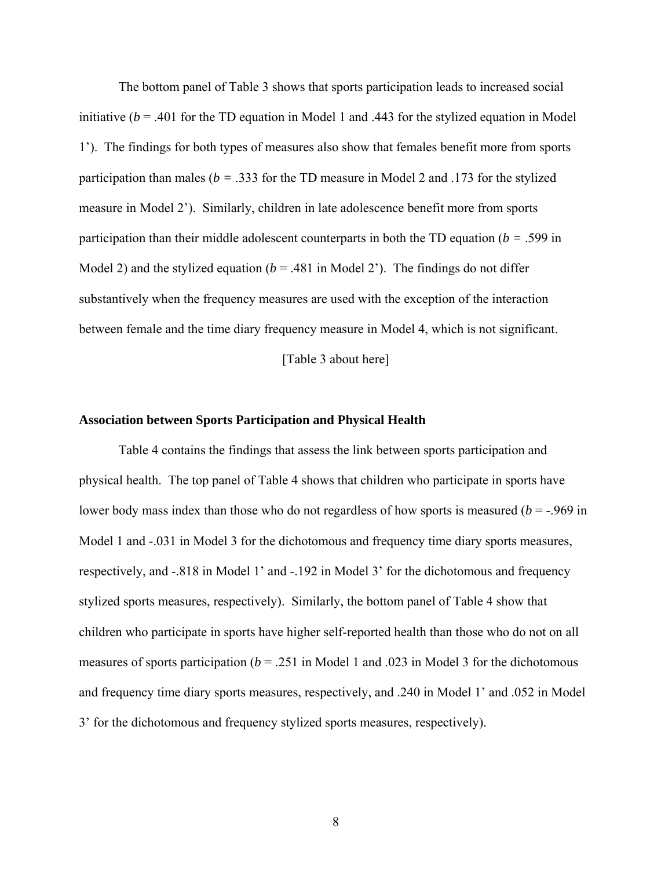The bottom panel of Table 3 shows that sports participation leads to increased social initiative  $(b = .401)$  for the TD equation in Model 1 and .443 for the stylized equation in Model 1'). The findings for both types of measures also show that females benefit more from sports participation than males (*b =* .333 for the TD measure in Model 2 and .173 for the stylized measure in Model 2'). Similarly, children in late adolescence benefit more from sports participation than their middle adolescent counterparts in both the TD equation (*b =* .599 in Model 2) and the stylized equation  $(b = .481$  in Model 2'). The findings do not differ substantively when the frequency measures are used with the exception of the interaction between female and the time diary frequency measure in Model 4, which is not significant.

[Table 3 about here]

## **Association between Sports Participation and Physical Health**

Table 4 contains the findings that assess the link between sports participation and physical health. The top panel of Table 4 shows that children who participate in sports have lower body mass index than those who do not regardless of how sports is measured (*b* = -.969 in Model 1 and  $-.031$  in Model 3 for the dichotomous and frequency time diary sports measures, respectively, and -.818 in Model 1' and -.192 in Model 3' for the dichotomous and frequency stylized sports measures, respectively). Similarly, the bottom panel of Table 4 show that children who participate in sports have higher self-reported health than those who do not on all measures of sports participation ( $b = 0.251$  in Model 1 and .023 in Model 3 for the dichotomous and frequency time diary sports measures, respectively, and .240 in Model 1' and .052 in Model 3' for the dichotomous and frequency stylized sports measures, respectively).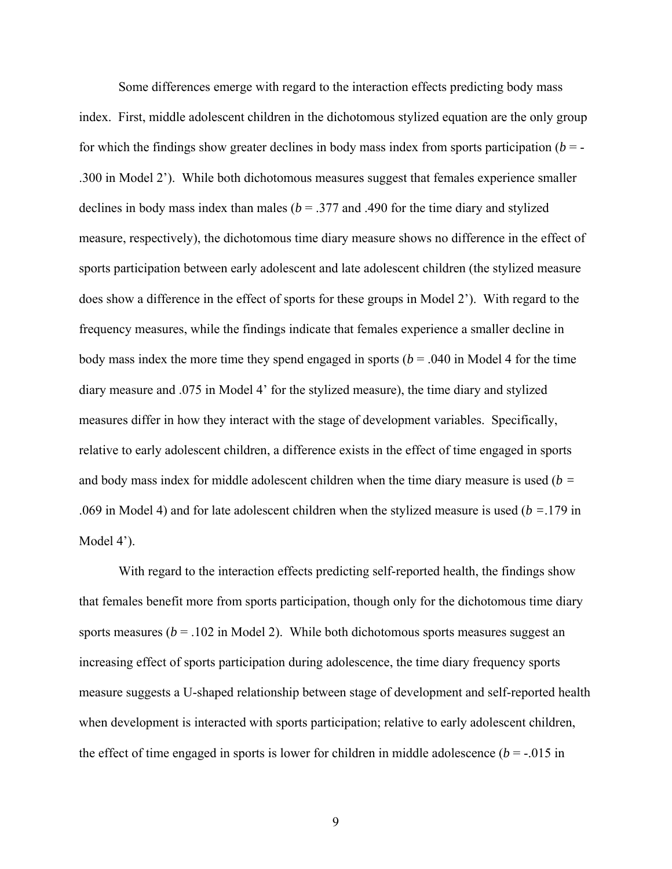Some differences emerge with regard to the interaction effects predicting body mass index. First, middle adolescent children in the dichotomous stylized equation are the only group for which the findings show greater declines in body mass index from sports participation  $(b = -1)$ .300 in Model 2'). While both dichotomous measures suggest that females experience smaller declines in body mass index than males ( $b = 0.377$  and .490 for the time diary and stylized measure, respectively), the dichotomous time diary measure shows no difference in the effect of sports participation between early adolescent and late adolescent children (the stylized measure does show a difference in the effect of sports for these groups in Model 2'). With regard to the frequency measures, while the findings indicate that females experience a smaller decline in body mass index the more time they spend engaged in sports ( $b = .040$  in Model 4 for the time diary measure and .075 in Model 4' for the stylized measure), the time diary and stylized measures differ in how they interact with the stage of development variables. Specifically, relative to early adolescent children, a difference exists in the effect of time engaged in sports and body mass index for middle adolescent children when the time diary measure is used (*b =* .069 in Model 4) and for late adolescent children when the stylized measure is used (*b =*.179 in Model 4<sup>'</sup>).

With regard to the interaction effects predicting self-reported health, the findings show that females benefit more from sports participation, though only for the dichotomous time diary sports measures ( $b = .102$  in Model 2). While both dichotomous sports measures suggest an increasing effect of sports participation during adolescence, the time diary frequency sports measure suggests a U-shaped relationship between stage of development and self-reported health when development is interacted with sports participation; relative to early adolescent children, the effect of time engaged in sports is lower for children in middle adolescence  $(b = -0.015)$  in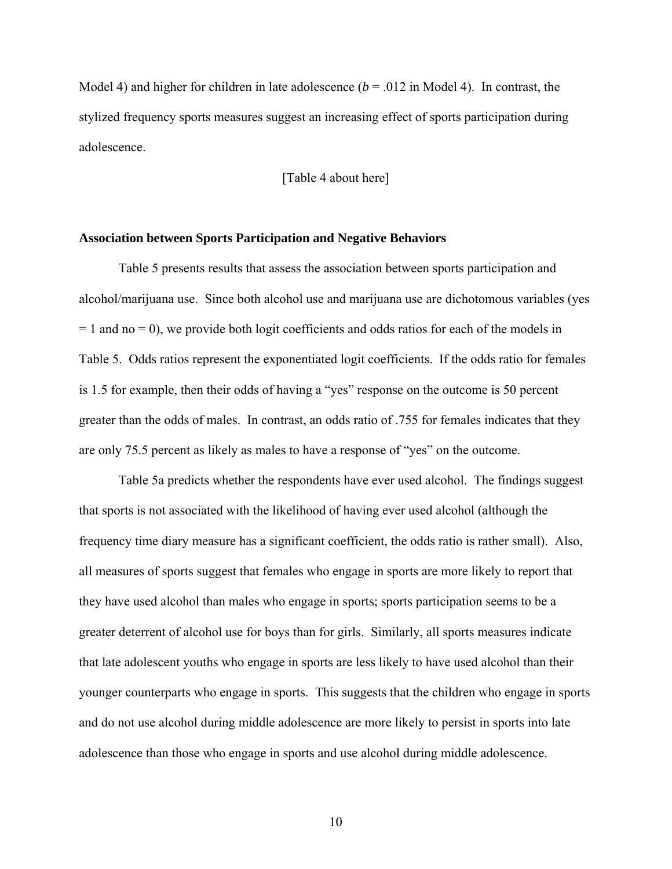Model 4) and higher for children in late adolescence  $(b = .012$  in Model 4). In contrast, the stylized frequency sports measures suggest an increasing effect of sports participation during adolescence.

[Table 4 about here]

## **Association between Sports Participation and Negative Behaviors**

Table 5 presents results that assess the association between sports participation and alcohol/marijuana use. Since both alcohol use and marijuana use are dichotomous variables (yes  $= 1$  and no  $= 0$ ), we provide both logit coefficients and odds ratios for each of the models in Table 5. Odds ratios represent the exponentiated logit coefficients. If the odds ratio for females is 1.5 for example, then their odds of having a "yes" response on the outcome is 50 percent greater than the odds of males. In contrast, an odds ratio of .755 for females indicates that they are only 75.5 percent as likely as males to have a response of "yes" on the outcome.

Table 5a predicts whether the respondents have ever used alcohol. The findings suggest that sports is not associated with the likelihood of having ever used alcohol (although the frequency time diary measure has a significant coefficient, the odds ratio is rather small). Also, all measures of sports suggest that females who engage in sports are more likely to report that they have used alcohol than males who engage in sports; sports participation seems to be a greater deterrent of alcohol use for boys than for girls. Similarly, all sports measures indicate that late adolescent youths who engage in sports are less likely to have used alcohol than their younger counterparts who engage in sports. This suggests that the children who engage in sports and do not use alcohol during middle adolescence are more likely to persist in sports into late adolescence than those who engage in sports and use alcohol during middle adolescence.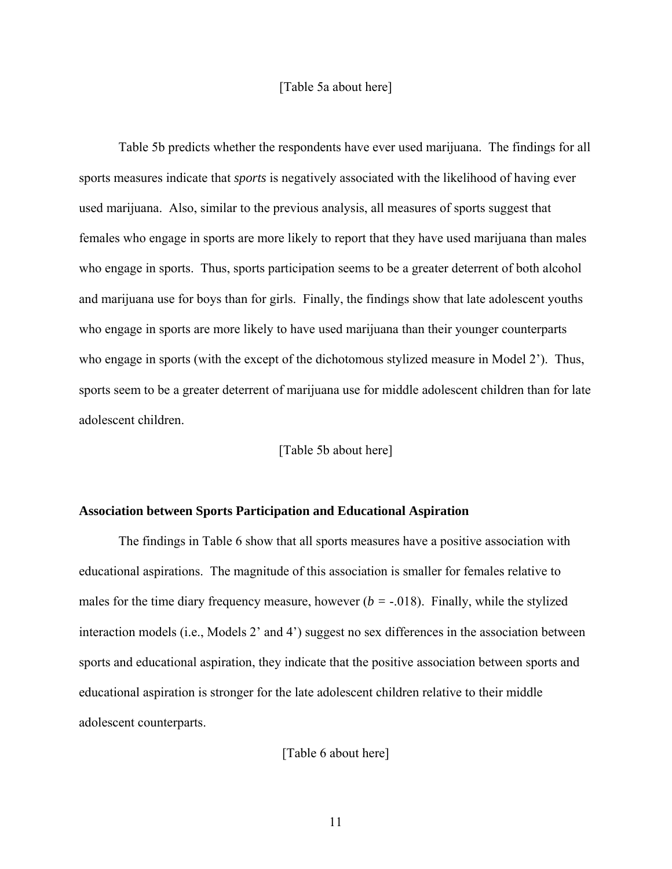## [Table 5a about here]

Table 5b predicts whether the respondents have ever used marijuana. The findings for all sports measures indicate that *sports* is negatively associated with the likelihood of having ever used marijuana. Also, similar to the previous analysis, all measures of sports suggest that females who engage in sports are more likely to report that they have used marijuana than males who engage in sports. Thus, sports participation seems to be a greater deterrent of both alcohol and marijuana use for boys than for girls. Finally, the findings show that late adolescent youths who engage in sports are more likely to have used marijuana than their younger counterparts who engage in sports (with the except of the dichotomous stylized measure in Model 2'). Thus, sports seem to be a greater deterrent of marijuana use for middle adolescent children than for late adolescent children.

[Table 5b about here]

## **Association between Sports Participation and Educational Aspiration**

The findings in Table 6 show that all sports measures have a positive association with educational aspirations. The magnitude of this association is smaller for females relative to males for the time diary frequency measure, however  $(b = -0.018)$ . Finally, while the stylized interaction models (i.e., Models 2' and 4') suggest no sex differences in the association between sports and educational aspiration, they indicate that the positive association between sports and educational aspiration is stronger for the late adolescent children relative to their middle adolescent counterparts.

[Table 6 about here]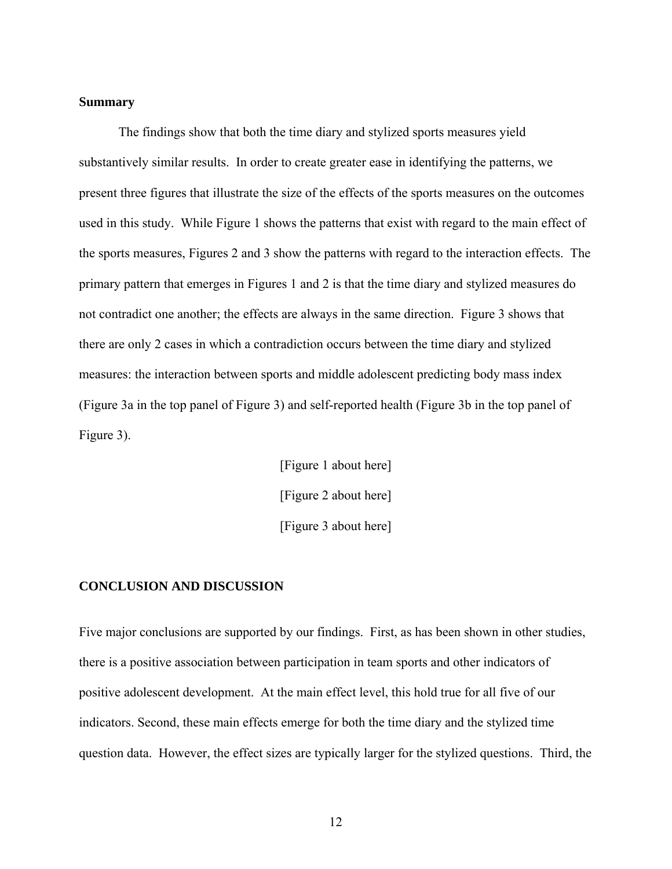## **Summary**

The findings show that both the time diary and stylized sports measures yield substantively similar results. In order to create greater ease in identifying the patterns, we present three figures that illustrate the size of the effects of the sports measures on the outcomes used in this study. While Figure 1 shows the patterns that exist with regard to the main effect of the sports measures, Figures 2 and 3 show the patterns with regard to the interaction effects. The primary pattern that emerges in Figures 1 and 2 is that the time diary and stylized measures do not contradict one another; the effects are always in the same direction. Figure 3 shows that there are only 2 cases in which a contradiction occurs between the time diary and stylized measures: the interaction between sports and middle adolescent predicting body mass index (Figure 3a in the top panel of Figure 3) and self-reported health (Figure 3b in the top panel of Figure 3).

> [Figure 1 about here] [Figure 2 about here] [Figure 3 about here]

## **CONCLUSION AND DISCUSSION**

Five major conclusions are supported by our findings. First, as has been shown in other studies, there is a positive association between participation in team sports and other indicators of positive adolescent development. At the main effect level, this hold true for all five of our indicators. Second, these main effects emerge for both the time diary and the stylized time question data. However, the effect sizes are typically larger for the stylized questions. Third, the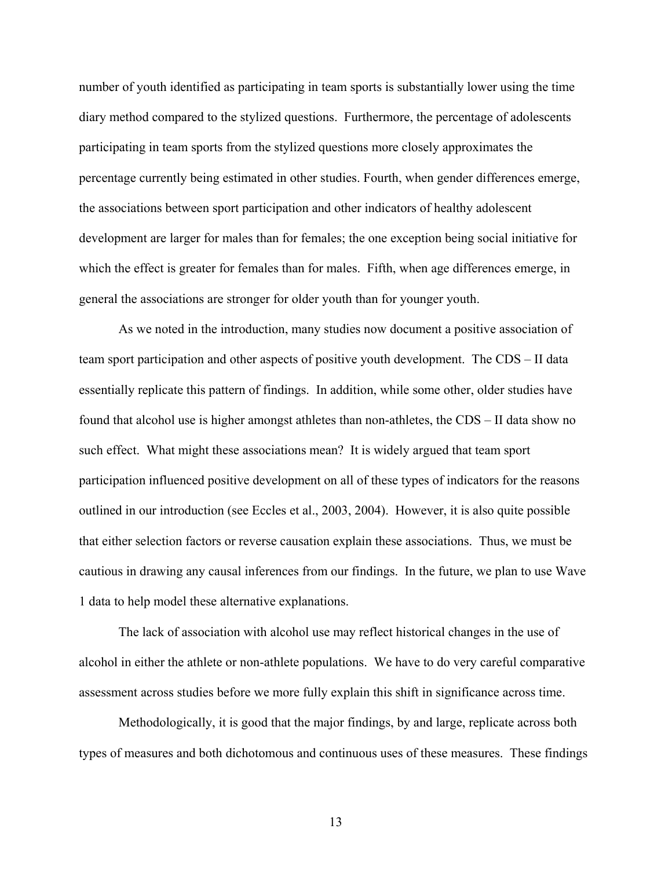number of youth identified as participating in team sports is substantially lower using the time diary method compared to the stylized questions. Furthermore, the percentage of adolescents participating in team sports from the stylized questions more closely approximates the percentage currently being estimated in other studies. Fourth, when gender differences emerge, the associations between sport participation and other indicators of healthy adolescent development are larger for males than for females; the one exception being social initiative for which the effect is greater for females than for males. Fifth, when age differences emerge, in general the associations are stronger for older youth than for younger youth.

As we noted in the introduction, many studies now document a positive association of team sport participation and other aspects of positive youth development. The CDS – II data essentially replicate this pattern of findings. In addition, while some other, older studies have found that alcohol use is higher amongst athletes than non-athletes, the CDS – II data show no such effect. What might these associations mean? It is widely argued that team sport participation influenced positive development on all of these types of indicators for the reasons outlined in our introduction (see Eccles et al., 2003, 2004). However, it is also quite possible that either selection factors or reverse causation explain these associations. Thus, we must be cautious in drawing any causal inferences from our findings. In the future, we plan to use Wave 1 data to help model these alternative explanations.

The lack of association with alcohol use may reflect historical changes in the use of alcohol in either the athlete or non-athlete populations. We have to do very careful comparative assessment across studies before we more fully explain this shift in significance across time.

Methodologically, it is good that the major findings, by and large, replicate across both types of measures and both dichotomous and continuous uses of these measures. These findings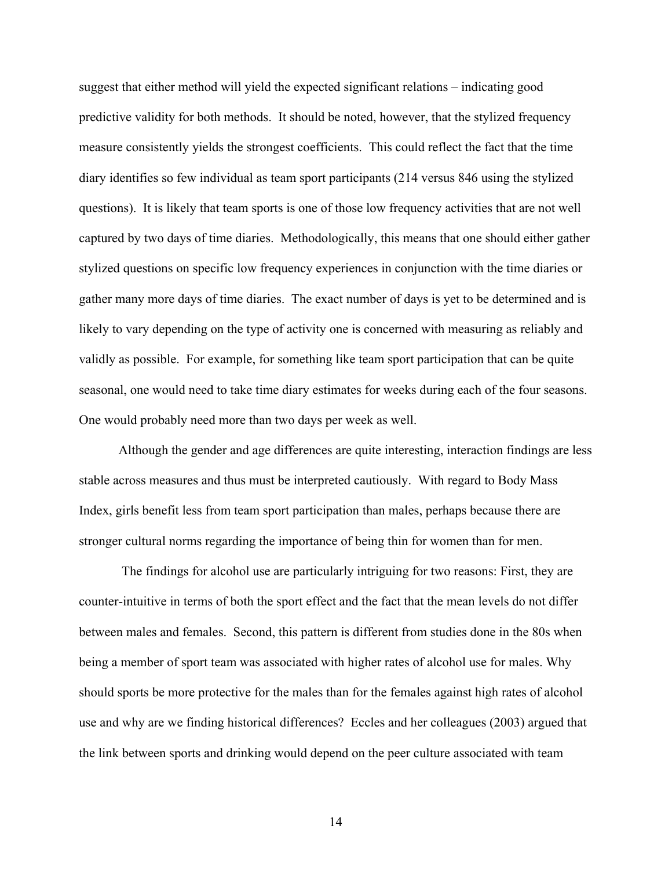suggest that either method will yield the expected significant relations – indicating good predictive validity for both methods. It should be noted, however, that the stylized frequency measure consistently yields the strongest coefficients. This could reflect the fact that the time diary identifies so few individual as team sport participants (214 versus 846 using the stylized questions). It is likely that team sports is one of those low frequency activities that are not well captured by two days of time diaries. Methodologically, this means that one should either gather stylized questions on specific low frequency experiences in conjunction with the time diaries or gather many more days of time diaries. The exact number of days is yet to be determined and is likely to vary depending on the type of activity one is concerned with measuring as reliably and validly as possible. For example, for something like team sport participation that can be quite seasonal, one would need to take time diary estimates for weeks during each of the four seasons. One would probably need more than two days per week as well.

Although the gender and age differences are quite interesting, interaction findings are less stable across measures and thus must be interpreted cautiously. With regard to Body Mass Index, girls benefit less from team sport participation than males, perhaps because there are stronger cultural norms regarding the importance of being thin for women than for men.

 The findings for alcohol use are particularly intriguing for two reasons: First, they are counter-intuitive in terms of both the sport effect and the fact that the mean levels do not differ between males and females. Second, this pattern is different from studies done in the 80s when being a member of sport team was associated with higher rates of alcohol use for males. Why should sports be more protective for the males than for the females against high rates of alcohol use and why are we finding historical differences? Eccles and her colleagues (2003) argued that the link between sports and drinking would depend on the peer culture associated with team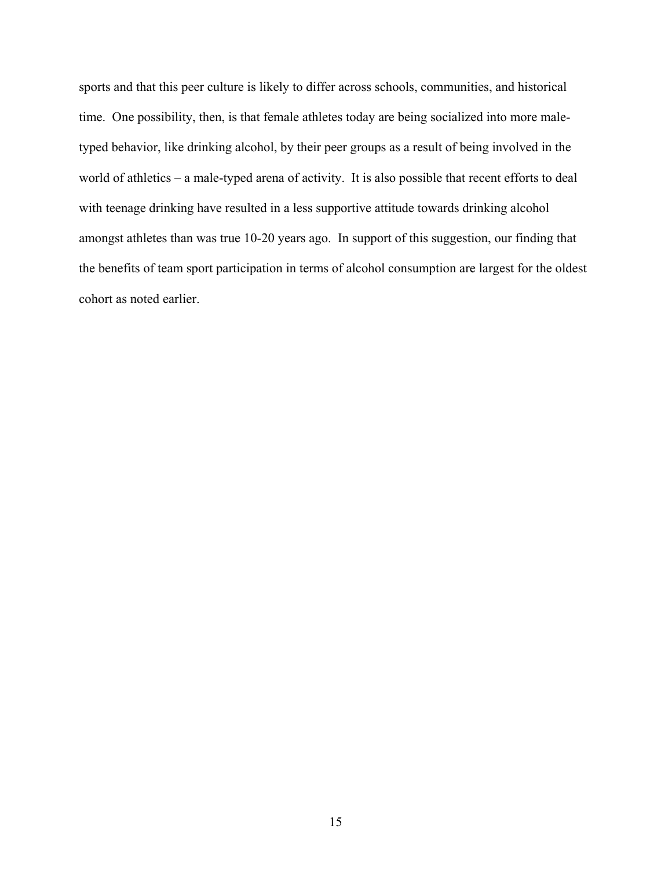sports and that this peer culture is likely to differ across schools, communities, and historical time. One possibility, then, is that female athletes today are being socialized into more maletyped behavior, like drinking alcohol, by their peer groups as a result of being involved in the world of athletics – a male-typed arena of activity. It is also possible that recent efforts to deal with teenage drinking have resulted in a less supportive attitude towards drinking alcohol amongst athletes than was true 10-20 years ago. In support of this suggestion, our finding that the benefits of team sport participation in terms of alcohol consumption are largest for the oldest cohort as noted earlier.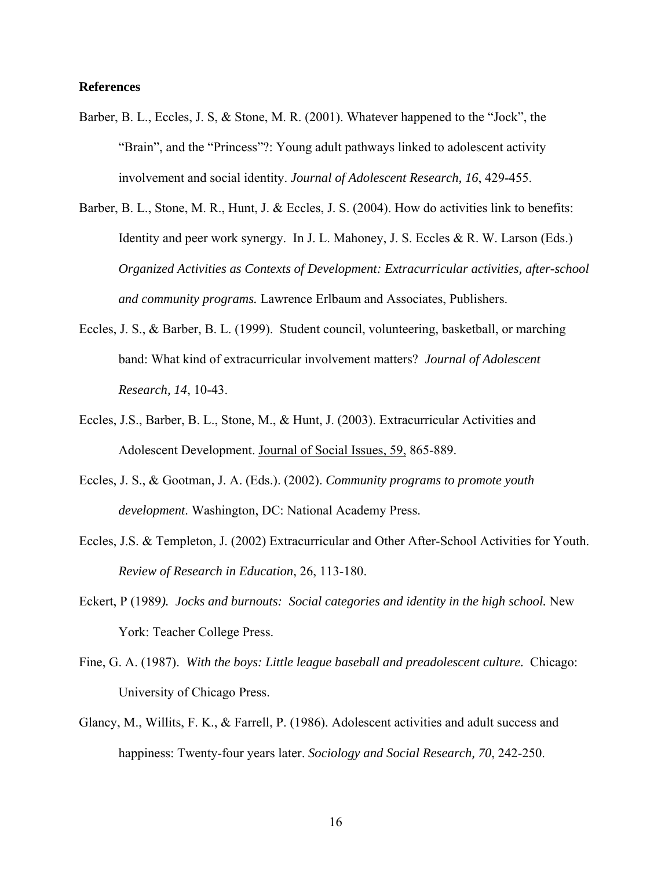## **References**

- Barber, B. L., Eccles, J. S, & Stone, M. R. (2001). Whatever happened to the "Jock", the "Brain", and the "Princess"?: Young adult pathways linked to adolescent activity involvement and social identity. *Journal of Adolescent Research, 16*, 429-455.
- Barber, B. L., Stone, M. R., Hunt, J. & Eccles, J. S. (2004). How do activities link to benefits: Identity and peer work synergy. In J. L. Mahoney, J. S. Eccles & R. W. Larson (Eds.) *Organized Activities as Contexts of Development: Extracurricular activities, after-school and community programs.* Lawrence Erlbaum and Associates, Publishers.
- Eccles, J. S., & Barber, B. L. (1999). Student council, volunteering, basketball, or marching band: What kind of extracurricular involvement matters? *Journal of Adolescent Research, 14*, 10-43.
- Eccles, J.S., Barber, B. L., Stone, M., & Hunt, J. (2003). Extracurricular Activities and Adolescent Development. Journal of Social Issues, 59, 865-889.
- Eccles, J. S., & Gootman, J. A. (Eds.). (2002). *Community programs to promote youth development*. Washington, DC: National Academy Press.
- Eccles, J.S. & Templeton, J. (2002) Extracurricular and Other After-School Activities for Youth. *Review of Research in Education*, 26, 113-180.
- Eckert, P (1989*). Jocks and burnouts: Social categories and identity in the high school.* New York: Teacher College Press.
- Fine, G. A. (1987). *With the boys: Little league baseball and preadolescent culture.* Chicago: University of Chicago Press.
- Glancy, M., Willits, F. K., & Farrell, P. (1986). Adolescent activities and adult success and happiness: Twenty-four years later. *Sociology and Social Research, 70*, 242-250.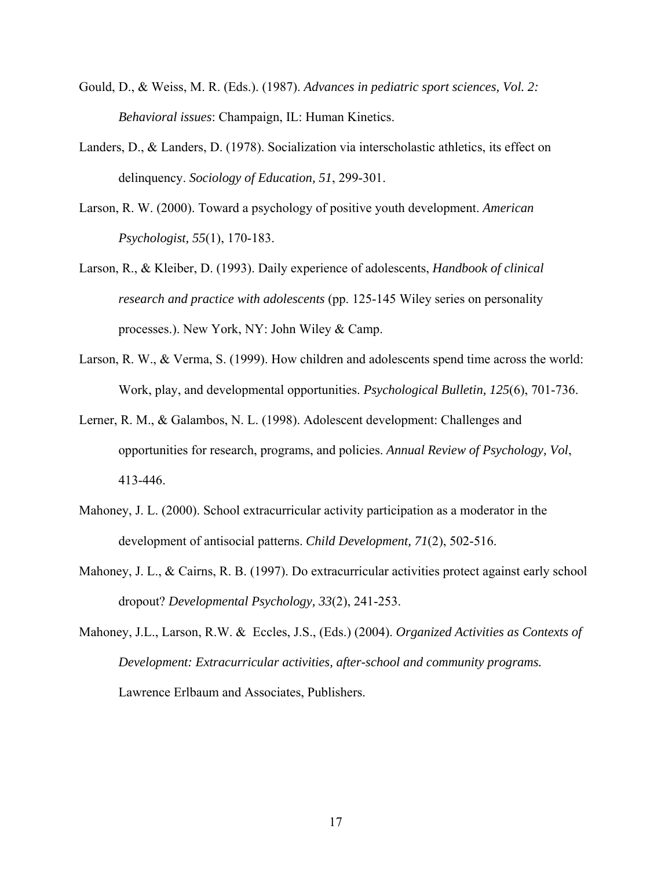- Gould, D., & Weiss, M. R. (Eds.). (1987). *Advances in pediatric sport sciences, Vol. 2: Behavioral issues*: Champaign, IL: Human Kinetics.
- Landers, D., & Landers, D. (1978). Socialization via interscholastic athletics, its effect on delinquency. *Sociology of Education, 51*, 299-301.
- Larson, R. W. (2000). Toward a psychology of positive youth development. *American Psychologist, 55*(1), 170-183.
- Larson, R., & Kleiber, D. (1993). Daily experience of adolescents, *Handbook of clinical research and practice with adolescents* (pp. 125-145 Wiley series on personality processes.). New York, NY: John Wiley & Camp.
- Larson, R. W., & Verma, S. (1999). How children and adolescents spend time across the world: Work, play, and developmental opportunities. *Psychological Bulletin, 125*(6), 701-736.
- Lerner, R. M., & Galambos, N. L. (1998). Adolescent development: Challenges and opportunities for research, programs, and policies. *Annual Review of Psychology, Vol*, 413-446.
- Mahoney, J. L. (2000). School extracurricular activity participation as a moderator in the development of antisocial patterns. *Child Development, 71*(2), 502-516.
- Mahoney, J. L., & Cairns, R. B. (1997). Do extracurricular activities protect against early school dropout? *Developmental Psychology, 33*(2), 241-253.
- Mahoney, J.L., Larson, R.W. & Eccles, J.S., (Eds.) (2004). *Organized Activities as Contexts of Development: Extracurricular activities, after-school and community programs.* Lawrence Erlbaum and Associates, Publishers.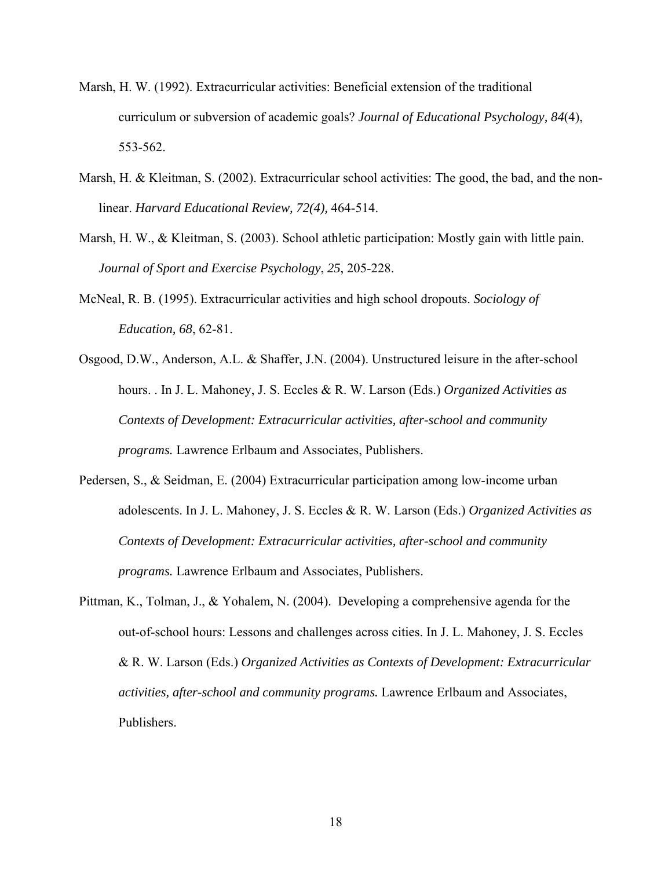- Marsh, H. W. (1992). Extracurricular activities: Beneficial extension of the traditional curriculum or subversion of academic goals? *Journal of Educational Psychology, 84*(4), 553-562.
- Marsh, H. & Kleitman, S. (2002). Extracurricular school activities: The good, the bad, and the nonlinear. *Harvard Educational Review, 72(4),* 464-514.
- Marsh, H. W., & Kleitman, S. (2003). School athletic participation: Mostly gain with little pain. *Journal of Sport and Exercise Psychology*, *25*, 205-228.
- McNeal, R. B. (1995). Extracurricular activities and high school dropouts. *Sociology of Education, 68*, 62-81.
- Osgood, D.W., Anderson, A.L. & Shaffer, J.N. (2004). Unstructured leisure in the after-school hours. . In J. L. Mahoney, J. S. Eccles & R. W. Larson (Eds.) *Organized Activities as Contexts of Development: Extracurricular activities, after-school and community programs.* Lawrence Erlbaum and Associates, Publishers.
- Pedersen, S., & Seidman, E. (2004) Extracurricular participation among low-income urban adolescents. In J. L. Mahoney, J. S. Eccles & R. W. Larson (Eds.) *Organized Activities as Contexts of Development: Extracurricular activities, after-school and community programs.* Lawrence Erlbaum and Associates, Publishers.
- Pittman, K., Tolman, J., & Yohalem, N. (2004). Developing a comprehensive agenda for the out-of-school hours: Lessons and challenges across cities. In J. L. Mahoney, J. S. Eccles & R. W. Larson (Eds.) *Organized Activities as Contexts of Development: Extracurricular activities, after-school and community programs.* Lawrence Erlbaum and Associates, Publishers.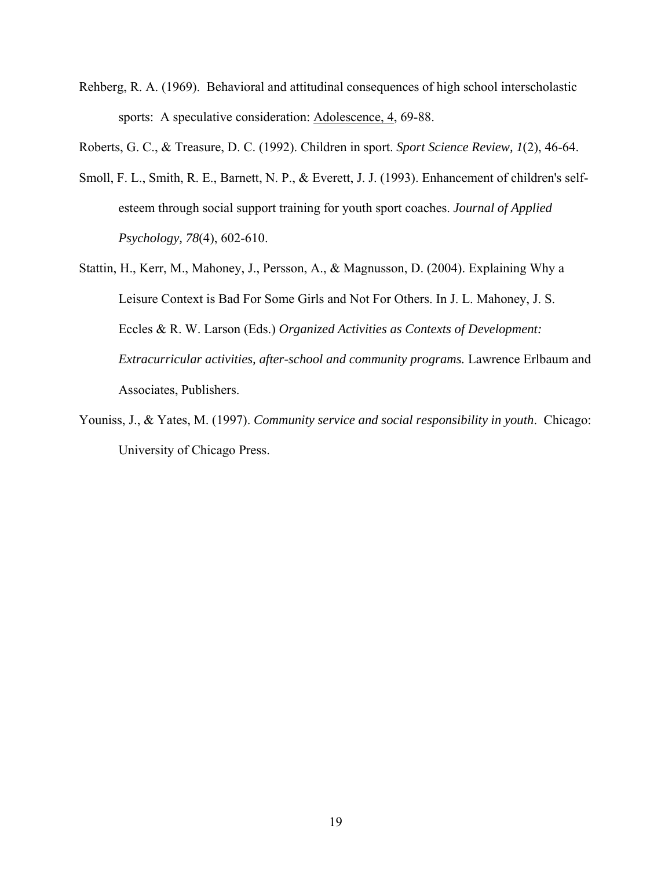- Rehberg, R. A. (1969). Behavioral and attitudinal consequences of high school interscholastic sports: A speculative consideration: Adolescence, 4, 69-88.
- Roberts, G. C., & Treasure, D. C. (1992). Children in sport. *Sport Science Review, 1*(2), 46-64.
- Smoll, F. L., Smith, R. E., Barnett, N. P., & Everett, J. J. (1993). Enhancement of children's selfesteem through social support training for youth sport coaches. *Journal of Applied Psychology, 78*(4), 602-610.
- Stattin, H., Kerr, M., Mahoney, J., Persson, A., & Magnusson, D. (2004). Explaining Why a Leisure Context is Bad For Some Girls and Not For Others. In J. L. Mahoney, J. S. Eccles & R. W. Larson (Eds.) *Organized Activities as Contexts of Development: Extracurricular activities, after-school and community programs.* Lawrence Erlbaum and Associates, Publishers.
- Youniss, J., & Yates, M. (1997). *Community service and social responsibility in youth*. Chicago: University of Chicago Press.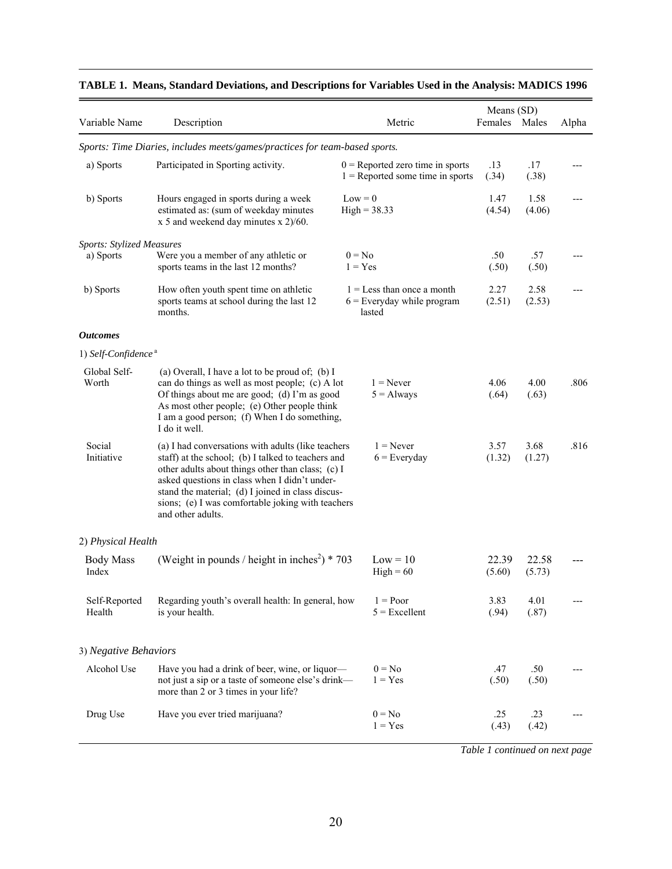| Variable Name                                 | Description                                                                                                                                                                                                                                                                                                                                   | Metric                                                                   | Means (SD)<br>Females | Males           | Alpha |
|-----------------------------------------------|-----------------------------------------------------------------------------------------------------------------------------------------------------------------------------------------------------------------------------------------------------------------------------------------------------------------------------------------------|--------------------------------------------------------------------------|-----------------------|-----------------|-------|
|                                               | Sports: Time Diaries, includes meets/games/practices for team-based sports.                                                                                                                                                                                                                                                                   |                                                                          |                       |                 |       |
| a) Sports                                     | Participated in Sporting activity.                                                                                                                                                                                                                                                                                                            | $0$ = Reported zero time in sports<br>$1 =$ Reported some time in sports | .13<br>(.34)          | .17<br>(.38)    |       |
| b) Sports                                     | Hours engaged in sports during a week<br>estimated as: (sum of weekday minutes<br>$x$ 5 and weekend day minutes $x$ 2)/60.                                                                                                                                                                                                                    | $Low = 0$<br>$High = 38.33$                                              | 1.47<br>(4.54)        | 1.58<br>(4.06)  |       |
| <b>Sports: Stylized Measures</b><br>a) Sports | Were you a member of any athletic or<br>sports teams in the last 12 months?                                                                                                                                                                                                                                                                   | $0 = No$<br>$1 = Yes$                                                    | .50<br>(.50)          | .57<br>(.50)    |       |
| b) Sports                                     | How often youth spent time on athletic<br>sports teams at school during the last 12<br>months.                                                                                                                                                                                                                                                | $1 =$ Less than once a month<br>$6$ = Everyday while program<br>lasted   | 2.27<br>(2.51)        | 2.58<br>(2.53)  |       |
| <b>Outcomes</b>                               |                                                                                                                                                                                                                                                                                                                                               |                                                                          |                       |                 |       |
| 1) Self-Confidence <sup>a</sup>               |                                                                                                                                                                                                                                                                                                                                               |                                                                          |                       |                 |       |
| Global Self-<br>Worth                         | (a) Overall, I have a lot to be proud of; (b) I<br>can do things as well as most people; (c) A lot<br>Of things about me are good; (d) I'm as good<br>As most other people; (e) Other people think<br>I am a good person; (f) When I do something,<br>I do it well.                                                                           | $1 =$ Never<br>$5 =$ Always                                              | 4.06<br>(.64)         | 4.00<br>(.63)   | .806  |
| Social<br>Initiative                          | (a) I had conversations with adults (like teachers<br>staff) at the school; (b) I talked to teachers and<br>other adults about things other than class; (c) I<br>asked questions in class when I didn't under-<br>stand the material; (d) I joined in class discus-<br>sions; (e) I was comfortable joking with teachers<br>and other adults. | $1 =$ Never<br>$6$ = Everyday                                            | 3.57<br>(1.32)        | 3.68<br>(1.27)  | .816  |
| 2) Physical Health                            |                                                                                                                                                                                                                                                                                                                                               |                                                                          |                       |                 |       |
| <b>Body Mass</b><br>Index                     | (Weight in pounds / height in inches <sup>2</sup> ) * 703                                                                                                                                                                                                                                                                                     | $Low = 10$<br>$High = 60$                                                | 22.39<br>(5.60)       | 22.58<br>(5.73) |       |
| Self-Reported<br>Health                       | Regarding youth's overall health: In general, how<br>is your health.                                                                                                                                                                                                                                                                          | $1 = Poor$<br>$5 =$ Excellent                                            | 3.83<br>(.94)         | 4.01<br>(.87)   |       |
| 3) Negative Behaviors                         |                                                                                                                                                                                                                                                                                                                                               |                                                                          |                       |                 |       |
| Alcohol Use                                   | Have you had a drink of beer, wine, or liquor-<br>not just a sip or a taste of someone else's drink-<br>more than 2 or 3 times in your life?                                                                                                                                                                                                  | $0 = No$<br>$1 = Yes$                                                    | .47<br>(.50)          | .50<br>(.50)    |       |
| Drug Use                                      | Have you ever tried marijuana?                                                                                                                                                                                                                                                                                                                | $0 = No$<br>$1 = Yes$                                                    | .25<br>(.43)          | .23<br>(.42)    |       |

## **TABLE 1. Means, Standard Deviations, and Descriptions for Variables Used in the Analysis: MADICS 1996**

 *Table 1 continued on next page*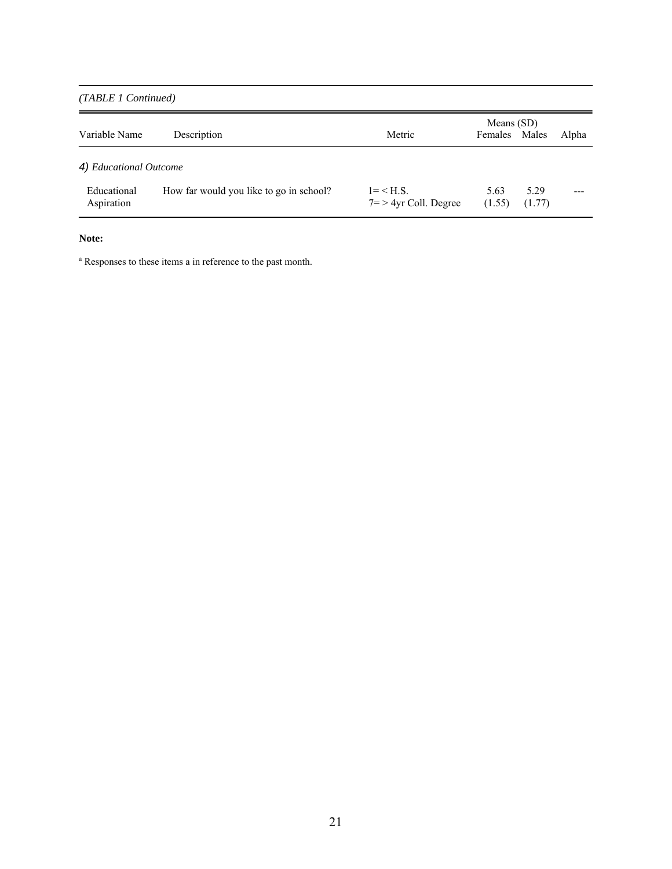*(TABLE 1 Continued)*

| Variable Name             | Description                             | Metric                                   | Means (SD)<br>Females Males |                | Alpha |
|---------------------------|-----------------------------------------|------------------------------------------|-----------------------------|----------------|-------|
| 4) Educational Outcome    |                                         |                                          |                             |                |       |
| Educational<br>Aspiration | How far would you like to go in school? | $1 = < H.S.$<br>$7 = 24$ vr Coll. Degree | 5.63<br>(1.55)              | 5.29<br>(1.77) |       |

## **Note:**

<sup>a</sup> Responses to these items a in reference to the past month.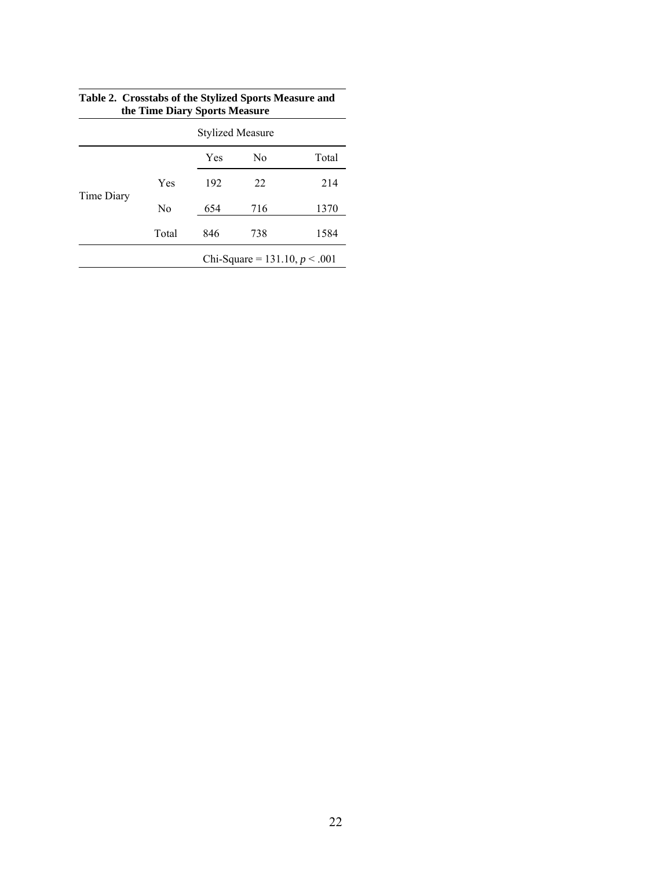|            | $\frac{1}{2}$                   |     |     |       |  |  |  |  |  |  |  |
|------------|---------------------------------|-----|-----|-------|--|--|--|--|--|--|--|
|            | <b>Stylized Measure</b>         |     |     |       |  |  |  |  |  |  |  |
|            |                                 | Yes | No  | Total |  |  |  |  |  |  |  |
|            | Yes                             | 192 | 22  | 214   |  |  |  |  |  |  |  |
| Time Diary | No                              | 654 | 716 | 1370  |  |  |  |  |  |  |  |
|            | Total                           | 846 | 738 | 1584  |  |  |  |  |  |  |  |
|            | Chi-Square = 131.10, $p < .001$ |     |     |       |  |  |  |  |  |  |  |

| Table 2. Crosstabs of the Stylized Sports Measure and |
|-------------------------------------------------------|
| the Time Diary Sports Measure                         |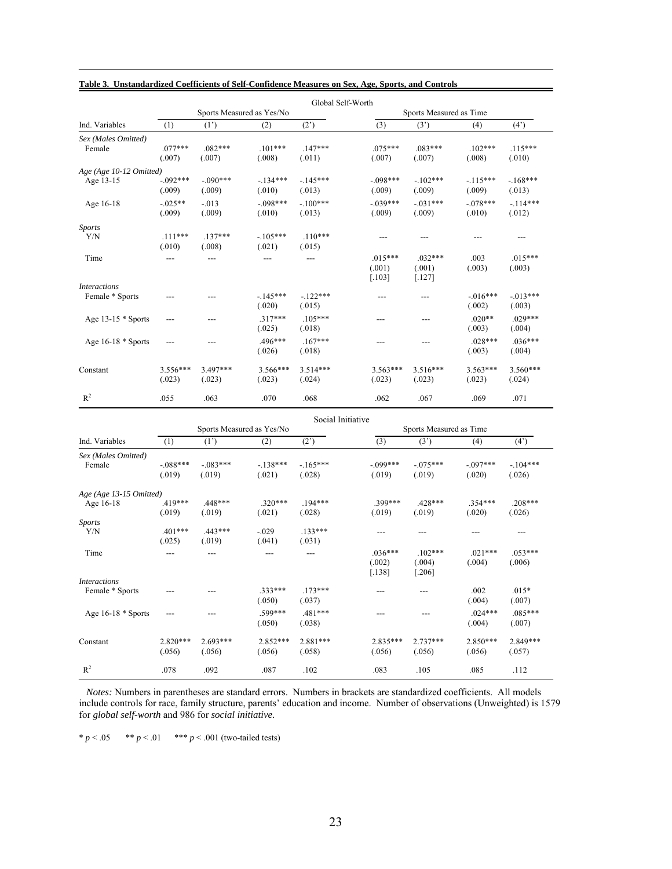|                                        | Global Self-Worth                                                         |                      |                           |                      |                                 |                                 |                       |                      |  |  |  |  |  |
|----------------------------------------|---------------------------------------------------------------------------|----------------------|---------------------------|----------------------|---------------------------------|---------------------------------|-----------------------|----------------------|--|--|--|--|--|
|                                        |                                                                           |                      | Sports Measured as Yes/No |                      |                                 | Sports Measured as Time         |                       |                      |  |  |  |  |  |
| Ind. Variables                         | (1)                                                                       | $(1^{\prime})$       | (2)                       | $(2^{\prime})$       | $\overline{(3)}$                | $(3^{\circ})$                   | (4)                   | (4)                  |  |  |  |  |  |
| Sex (Males Omitted)<br>Female          | $.077***$<br>$.082***$<br>(.007)<br>(.007)                                |                      | $.101***$<br>(.008)       | $.147***$<br>(.011)  | $.075***$<br>(.007)             | $.083***$<br>(.007)             | $.102***$<br>(.008)   | $.115***$<br>(.010)  |  |  |  |  |  |
| Age (Age 10-12 Omitted)<br>Age 13-15   | $-.092***$<br>(.009)                                                      | $-.090***$<br>(.009) | $-.134***$<br>(.010)      | $-.145***$<br>(.013) | $-.098***$<br>(.009)            | $-.102***$<br>(.009)            | $-115***$<br>(.009)   | $-168***$<br>(.013)  |  |  |  |  |  |
| Age 16-18                              | $-.025**$<br>(.009)                                                       | $-0.013$<br>(.009)   | $-.098***$<br>(.010)      | $-.100***$<br>(.013) | $-.039***$<br>(.009)            | $-.031***$<br>(.009)            | $-.078***$<br>(.010)  | $-114***$<br>(.012)  |  |  |  |  |  |
| <b>Sports</b>                          |                                                                           |                      |                           |                      |                                 |                                 |                       |                      |  |  |  |  |  |
| Y/N                                    | $.111***$<br>(.010)                                                       | $.137***$<br>(.008)  | $-105***$<br>(.021)       | $.110***$<br>(.015)  | $---$                           | $---$                           | $---$                 | $---$                |  |  |  |  |  |
| Time                                   | ---                                                                       | $---$                | ---                       | ---                  | $.015***$<br>(.001)<br>$[.103]$ | $.032***$<br>(.001)<br>$[.127]$ | .003<br>(.003)        | $.015***$<br>(.003)  |  |  |  |  |  |
| <b>Interactions</b><br>Female * Sports | $---$                                                                     | ---                  | $-145***$<br>(.020)       | $-122***$<br>(.015)  | ---                             | ---                             | $-0.016***$<br>(.002) | $-013***$<br>(.003)  |  |  |  |  |  |
| Age $13-15 *$ Sports                   | $---$                                                                     | $---$                | $.317***$<br>(.025)       | $.105***$<br>(.018)  | $---$                           | ---                             | $.020**$<br>(.003)    | $.029***$<br>(.004)  |  |  |  |  |  |
| Age 16-18 * Sports                     | $---$                                                                     | $---$                | .496***<br>(.026)         | $.167***$<br>(.018)  | $---$                           | ---                             | $.028***$<br>(.003)   | $.036***$<br>(.004)  |  |  |  |  |  |
| Constant                               | 3.556***<br>(.023)                                                        | 3.497***<br>(.023)   | 3.566***<br>(.023)        | $3.514***$<br>(.024) | $3.563***$<br>(.023)            | $3.516***$<br>(.023)            | 3.563***<br>(.023)    | 3.560***<br>(.024)   |  |  |  |  |  |
| $\mathbb{R}^2$                         | .055                                                                      | .063                 | .070                      | .068                 | .062                            | .067                            | .069                  | .071                 |  |  |  |  |  |
|                                        | Social Initiative<br>Sports Measured as Yes/No<br>Sports Measured as Time |                      |                           |                      |                                 |                                 |                       |                      |  |  |  |  |  |
| Ind. Variables                         | (1)                                                                       | (1')                 | (2)                       | (2)                  | (3)                             | (3')                            | (4)                   | (4)                  |  |  |  |  |  |
|                                        |                                                                           |                      |                           |                      |                                 |                                 |                       |                      |  |  |  |  |  |
| Sex (Males Omitted)<br>Female          | $-.088***$<br>(.019)                                                      | $-083***$<br>(.019)  | $-138***$<br>(.021)       | $-165***$<br>(.028)  | $-0.099***$<br>(.019)           | $-.075***$<br>(.019)            | $-0.097***$<br>(.020) | $-.104***$<br>(.026) |  |  |  |  |  |
| Age (Age 13-15 Omitted)<br>Age 16-18   | .419***<br>(.019)                                                         | .448***<br>(.019)    | $.320***$<br>(.021)       | $.194***$<br>(.028)  | 399***<br>(.019)                | .428***<br>(.019)               | $.354***$<br>(.020)   | $.208***$<br>(.026)  |  |  |  |  |  |
| <b>Sports</b><br>Y/N                   | $.401***$<br>(.025)                                                       | $.443***$<br>(.019)  | $-.029$<br>(.041)         | $.133***$<br>(.031)  | $\qquad \qquad - -$             | ---                             | ---                   | ---                  |  |  |  |  |  |
| Time                                   | ---                                                                       | $---$                | $---$                     | $---$                | $.036***$<br>(.002)<br>$[.138]$ | $.102***$<br>(.004)<br>$[.206]$ | $.021***$<br>(.004)   | $.053***$<br>(.006)  |  |  |  |  |  |
| <i>Interactions</i><br>Female * Sports |                                                                           |                      | .333***<br>(.050)         | $.173***$<br>(.037)  | ---                             | ---                             | .002<br>(.004)        | $.015*$<br>(.007)    |  |  |  |  |  |
| Age $16-18 *$ Sports                   | ---                                                                       | ---                  | .599***<br>(.050)         | .481***<br>(.038)    | ---                             | ---                             | $.024***$<br>(.004)   | $.085***$<br>(.007)  |  |  |  |  |  |

#### **Table 3. Unstandardized Coefficients of Self-Confidence Measures on Sex, Age, Sports, and Controls**

 *Notes:* Numbers in parentheses are standard errors. Numbers in brackets are standardized coefficients. All models include controls for race, family structure, parents' education and income. Number of observations (Unweighted) is 1579 for *global self-worth* and 986 for *social initiative*.

(.056) (.056) (.056) (.058) (.056) (.056) (.056) (.057)

Constant 2.820\*\*\* 2.693\*\*\* 2.852\*\*\* 2.881\*\*\* 2.835\*\*\* 2.737\*\*\* 2.850\*\*\* 2.849\*\*\*

R<sup>2</sup> .078 .092 .087 .102 .083 .105 .085 .112

\*  $p < .05$  \*\*  $p < .01$  \*\*\*  $p < .001$  (two-tailed tests)

 $\mathbb{R}^2$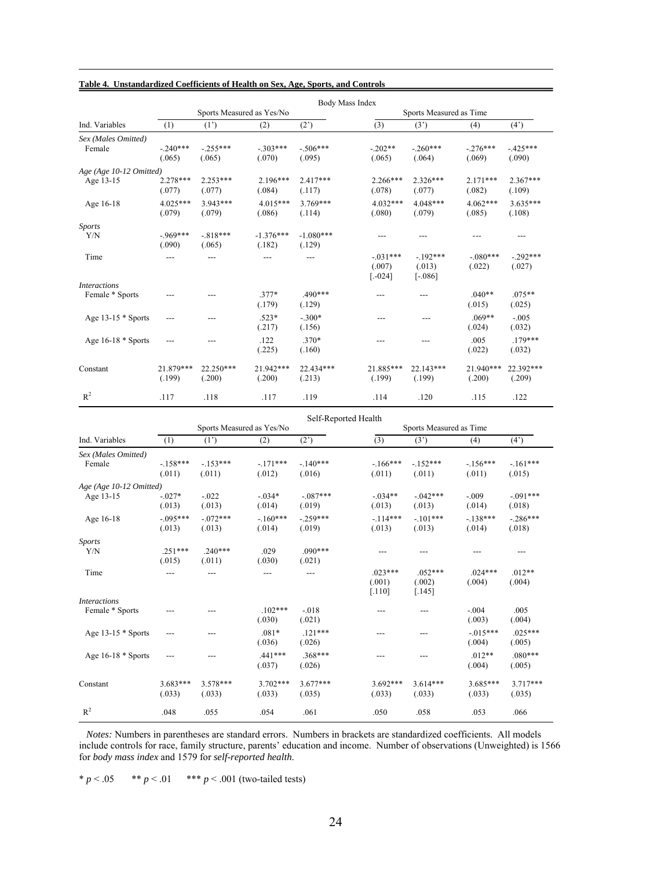|                         | Body Mass Index      |                       |                           |                       |                                 |                                  |                      |                      |  |  |  |  |  |
|-------------------------|----------------------|-----------------------|---------------------------|-----------------------|---------------------------------|----------------------------------|----------------------|----------------------|--|--|--|--|--|
|                         |                      |                       | Sports Measured as Yes/No |                       |                                 | Sports Measured as Time          |                      |                      |  |  |  |  |  |
| Ind. Variables          | (1)                  | $(1^{\prime})$        | (2)                       |                       | (3)                             | (3')                             | (4)                  | $(4^{\prime})$       |  |  |  |  |  |
| Sex (Males Omitted)     |                      |                       |                           |                       |                                 |                                  |                      |                      |  |  |  |  |  |
| Female                  | $-.240***$<br>(.065) | $-255***$<br>(.065)   | $-.303***$<br>(.070)      | $-.506***$<br>(.095)  | $-202**$<br>(.065)              | $-.260***$<br>(.064)             | $-276***$<br>(.069)  | $-425***$<br>(.090)  |  |  |  |  |  |
| Age (Age 10-12 Omitted) |                      |                       |                           |                       |                                 |                                  |                      |                      |  |  |  |  |  |
| Age 13-15               | 2.278***<br>(.077)   | $2.253***$<br>(.077)  | $2.196***$<br>(.084)      | $2.417***$<br>(.117)  | $2.266***$<br>(.078)            | $2.326***$<br>(.077)             | $2.171***$<br>(.082) | $2.367***$<br>(.109) |  |  |  |  |  |
| Age 16-18               | $4.025***$<br>(.079) | $3.943***$<br>(.079)  | $4.015***$<br>(.086)      | $3.769***$<br>(.114)  | $4.032***$<br>(.080)            | $4.048***$<br>(.079)             | $4.062***$<br>(.085) | $3.635***$<br>(.108) |  |  |  |  |  |
| <b>Sports</b>           |                      |                       |                           |                       |                                 |                                  |                      |                      |  |  |  |  |  |
| Y/N                     | $-.969***$<br>(.090) | $-818***$<br>(.065)   | $-1.376***$<br>(.182)     | $-1.080***$<br>(.129) |                                 | ---                              |                      | ---                  |  |  |  |  |  |
| Time                    | ---                  |                       |                           | ---                   | $-031***$<br>(.007)<br>$[-024]$ | $-192***$<br>(.013)<br>$[-.086]$ | $-080***$<br>(.022)  | $-292***$<br>(.027)  |  |  |  |  |  |
| <i>Interactions</i>     |                      |                       |                           |                       |                                 |                                  |                      |                      |  |  |  |  |  |
| Female * Sports         |                      |                       | $.377*$<br>(.179)         | $.490***$<br>(.129)   | ---                             | ---                              | $.040**$<br>(.015)   | $.075**$<br>(.025)   |  |  |  |  |  |
| Age $13-15 *$ Sports    | ---                  |                       | $.523*$<br>(.217)         | $-.300*$<br>(.156)    |                                 |                                  | $.069**$<br>(.024)   | $-.005$<br>(.032)    |  |  |  |  |  |
| Age $16-18 *$ Sports    | $---$                |                       | .122<br>(.225)            | $.370*$<br>(.160)     | ---                             | $---$                            | .005<br>(.022)       | $179***$<br>(.032)   |  |  |  |  |  |
| Constant                | 21.879***<br>(.199)  | $22.250***$<br>(.200) | 21.942***<br>(.200)       | 22.434***<br>(.213)   | 21.885***<br>(.199)             | 22.143***<br>(.199)              | 21.940***<br>(.200)  | 22.392***<br>(.209)  |  |  |  |  |  |
| $R^2$                   | .117                 | .118                  | .117                      | .119                  | .114                            | .120                             | .115                 | .122                 |  |  |  |  |  |

#### **Table 4. Unstandardized Coefficients of Health on Sex, Age, Sports, and Controls**

|                         | Self-Reported Health |                           |                      |                      |                                 |                                 |                      |                       |  |  |  |  |  |
|-------------------------|----------------------|---------------------------|----------------------|----------------------|---------------------------------|---------------------------------|----------------------|-----------------------|--|--|--|--|--|
|                         |                      | Sports Measured as Yes/No |                      |                      | Sports Measured as Time         |                                 |                      |                       |  |  |  |  |  |
| Ind. Variables          | (1)                  | (1')                      | (2)                  | (2)                  | (3)                             | (3')                            | (4)                  | $(4^{\prime})$        |  |  |  |  |  |
| Sex (Males Omitted)     |                      |                           |                      |                      |                                 |                                 |                      |                       |  |  |  |  |  |
| Female                  | $-158***$<br>(.011)  | $-153***$<br>(.011)       | $-171***$<br>(.012)  | $-140***$<br>(.016)  | $-166***$<br>(.011)             | $-152***$<br>(.011)             | $-156***$<br>(.011)  | $-.161***$<br>(.015)  |  |  |  |  |  |
| Age (Age 10-12 Omitted) |                      |                           |                      |                      |                                 |                                 |                      |                       |  |  |  |  |  |
| Age 13-15               | $-.027*$<br>(.013)   | $-.022$<br>(.013)         | $-0.034*$<br>(.014)  | $-.087***$<br>(.019) | $-0.34**$<br>(.013)             | $-042***$<br>(.013)             | $-.009$<br>(.014)    | $-0.091***$<br>(.018) |  |  |  |  |  |
| Age 16-18               | $-.095***$<br>(.013) | $-072***$<br>(.013)       | $-160***$<br>(.014)  | $-259***$<br>(.019)  | $-114***$<br>(.013)             | $-.101***$<br>(.013)            | $-138***$<br>(.014)  | $-.286***$<br>(.018)  |  |  |  |  |  |
| <b>Sports</b>           |                      |                           |                      |                      |                                 |                                 |                      |                       |  |  |  |  |  |
| Y/N                     | $.251***$<br>(.015)  | $.240***$<br>(.011)       | .029<br>(.030)       | $.090***$<br>(.021)  |                                 |                                 |                      |                       |  |  |  |  |  |
| Time                    |                      |                           |                      |                      | $.023***$<br>(.001)<br>$[.110]$ | $0.52***$<br>(.002)<br>$[.145]$ | $024***$<br>(.004)   | $.012**$<br>(.004)    |  |  |  |  |  |
| <b>Interactions</b>     |                      |                           |                      |                      |                                 |                                 |                      |                       |  |  |  |  |  |
| Female * Sports         |                      |                           | $.102***$<br>(.030)  | $-.018$<br>(.021)    | ---                             | ---                             | $-.004$<br>(.003)    | .005<br>(.004)        |  |  |  |  |  |
| Age $13-15 *$ Sports    |                      |                           | $.081*$<br>(.036)    | $.121***$<br>(.026)  | ---                             |                                 | $-015***$<br>(.004)  | $.025***$<br>(.005)   |  |  |  |  |  |
| Age $16-18 *$ Sports    | $---$                |                           | $.441***$<br>(.037)  | $368***$<br>(.026)   | ---                             |                                 | $.012**$<br>(.004)   | $.080***$<br>(.005)   |  |  |  |  |  |
| Constant                | $3.683***$<br>(.033) | $3.578***$<br>(.033)      | $3.702***$<br>(.033) | $3.677***$<br>(.035) | $3.692***$<br>(.033)            | $3.614***$<br>(.033)            | $3.685***$<br>(.033) | $3.717***$<br>(.035)  |  |  |  |  |  |
| $R^2$                   | .048                 | .055                      | .054                 | .061                 | .050                            | .058                            | .053                 | .066                  |  |  |  |  |  |

*Notes:* Numbers in parentheses are standard errors. Numbers in brackets are standardized coefficients. All models include controls for race, family structure, parents' education and income. Number of observations (Unweighted) is 1566 for *body mass index* and 1579 for *self-reported health*.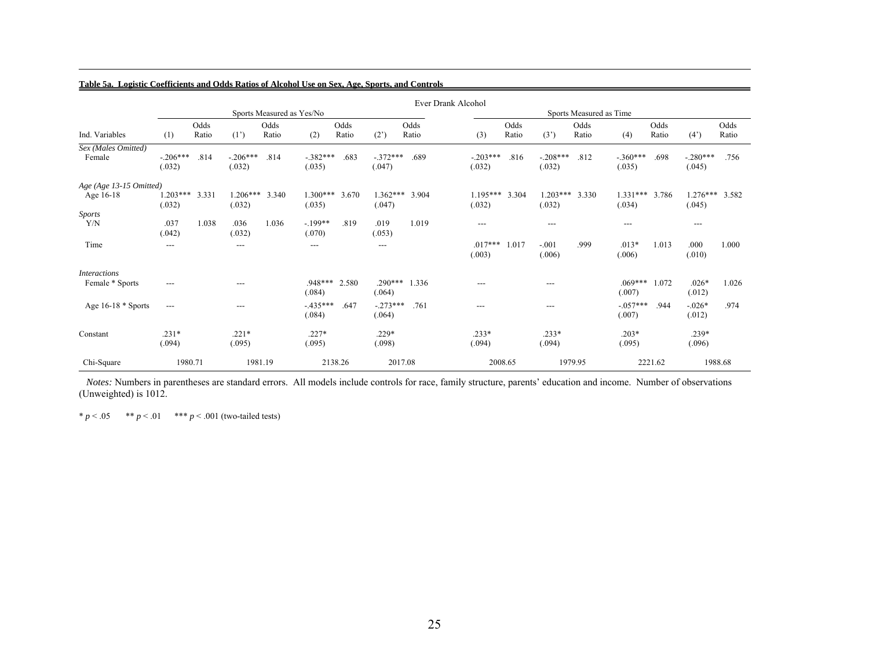|                         |                      |       |                      |                           |                      |         |                      |       | Ever Drank Alcohol   |         |                      |                         |                      |         |                      |       |
|-------------------------|----------------------|-------|----------------------|---------------------------|----------------------|---------|----------------------|-------|----------------------|---------|----------------------|-------------------------|----------------------|---------|----------------------|-------|
|                         |                      |       |                      | Sports Measured as Yes/No |                      |         |                      |       |                      |         |                      | Sports Measured as Time |                      |         |                      |       |
|                         |                      | Odds  |                      | Odds                      |                      | Odds    |                      | Odds  |                      | Odds    |                      | Odds                    |                      | Odds    |                      | Odds  |
| Ind. Variables          | (1)                  | Ratio | $(1^{\prime})$       | Ratio                     | (2)                  | Ratio   | (2)                  | Ratio | (3)                  | Ratio   | (3')                 | Ratio                   | (4)                  | Ratio   | (4)                  | Ratio |
| Sex (Males Omitted)     |                      |       |                      |                           |                      |         |                      |       |                      |         |                      |                         |                      |         |                      |       |
| Female                  | $-.206***$<br>(.032) | .814  | $-.206***$<br>(.032) | .814                      | $-.382***$<br>(.035) | .683    | $-.372***$<br>(.047) | .689  | $-.203***$<br>(.032) | .816    | $-.208***$<br>(.032) | .812                    | $-.360***$<br>(.035) | .698    | $-.280***$<br>(.045) | .756  |
| Age (Age 13-15 Omitted) |                      |       |                      |                           |                      |         |                      |       |                      |         |                      |                         |                      |         |                      |       |
| Age 16-18               | $1.203***$<br>(.032) | 3.331 | $1.206***$<br>(.032) | 3.340                     | $1.300***$<br>(.035) | 3.670   | $1.362***$<br>(.047) | 3.904 | $1.195***$<br>(.032) | 3.304   | $1.203***$<br>(.032) | 3.330                   | $1.331***$<br>(.034) | 3.786   | $1.276***$<br>(.045) | 3.582 |
| <b>Sports</b>           |                      |       |                      |                           |                      |         |                      |       |                      |         |                      |                         |                      |         |                      |       |
| Y/N                     | .037<br>(.042)       | 1.038 | .036<br>(.032)       | 1.036                     | $-.199**$<br>(.070)  | .819    | .019<br>(.053)       | 1.019 | ---                  |         | $---$                |                         | $---$                |         | $---$                |       |
| Time                    | ---                  |       | ---                  |                           | ---                  |         | ---                  |       | $.017***$<br>(.003)  | 1.017   | $-.001$<br>(.006)    | .999                    | $.013*$<br>(.006)    | 1.013   | .000<br>(.010)       | 1.000 |
| <b>Interactions</b>     |                      |       |                      |                           |                      |         |                      |       |                      |         |                      |                         |                      |         |                      |       |
| Female * Sports         | ---                  |       | ---                  |                           | $.948***$<br>(.084)  | 2.580   | $.290***$<br>(.064)  | 1.336 | ---                  |         | $---$                |                         | $.069***$<br>(.007)  | 1.072   | $.026*$<br>(.012)    | 1.026 |
| Age 16-18 * Sports      | $---$                |       | ---                  |                           | $-435***$<br>(.084)  | .647    | $-.273***$<br>(.064) | .761  | $---$                |         | $---$                |                         | $-.057***$<br>(.007) | .944    | $-.026*$<br>(.012)   | .974  |
| Constant                | $.231*$              |       | $.221*$              |                           | $.227*$              |         | $.229*$              |       | $.233*$              |         | $.233*$              |                         | $.203*$              |         | $.239*$              |       |
|                         | (.094)               |       | (.095)               |                           | (.095)               |         | (.098)               |       | (.094)               |         | (.094)               |                         | (.095)               |         | (.096)               |       |
| Chi-Square              | 1980.71              |       | 1981.19              |                           |                      | 2138.26 | 2017.08              |       |                      | 2008.65 |                      | 1979.95                 |                      | 2221.62 | 1988.68              |       |

#### **Table 5a. Logistic Coefficients and Odds Ratios of Alcohol Use on Sex, Age, Sports, and Controls**

*Notes:* Numbers in parentheses are standard errors. All models include controls for race, family structure, parents' education and income. Number of observations (Unweighted) is 1012.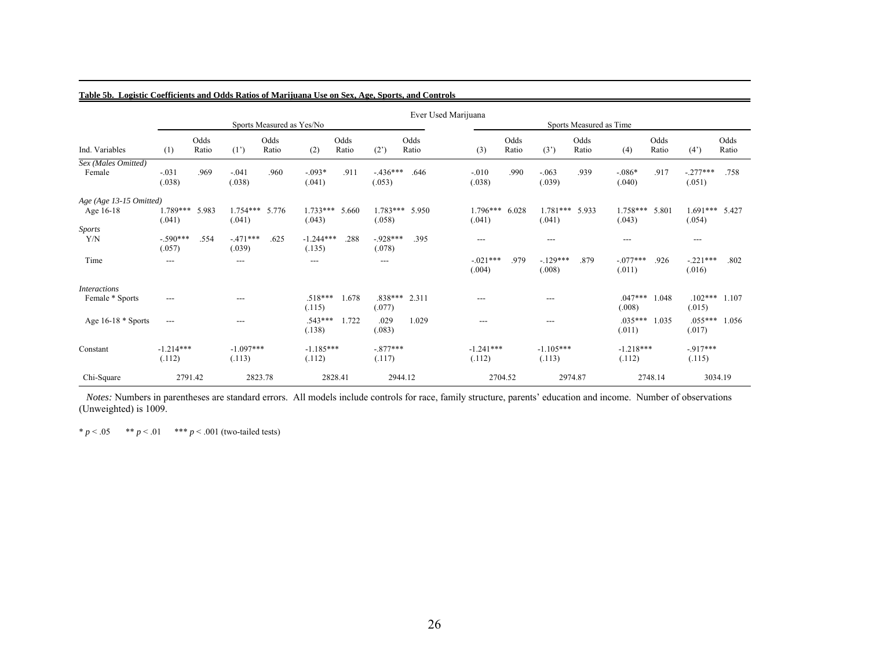|                                        |                                          |               |                       |                           |                                          |               |                      |               | Ever Used Marijuana |                       |               |                       |                         |                           |               |                          |               |
|----------------------------------------|------------------------------------------|---------------|-----------------------|---------------------------|------------------------------------------|---------------|----------------------|---------------|---------------------|-----------------------|---------------|-----------------------|-------------------------|---------------------------|---------------|--------------------------|---------------|
|                                        |                                          |               |                       | Sports Measured as Yes/No |                                          |               |                      |               |                     |                       |               |                       | Sports Measured as Time |                           |               |                          |               |
| Ind. Variables                         | (1)                                      | Odds<br>Ratio | $(1^{\prime})$        | Odds<br>Ratio             | (2)                                      | Odds<br>Ratio | (2)                  | Odds<br>Ratio |                     | (3)                   | Odds<br>Ratio | (3')                  | Odds<br>Ratio           | (4)                       | Odds<br>Ratio | (4)                      | Odds<br>Ratio |
| Sex (Males Omitted)<br>Female          | $-.031$<br>(.038)                        | .969          | $-.041$<br>(.038)     | .960                      | $-.093*$<br>(.041)                       | .911          | $-436***$<br>(.053)  | .646          |                     | $-0.010$<br>(.038)    | .990          | $-.063$<br>(.039)     | .939                    | $-0.086*$<br>(.040)       | .917          | $-.277***$<br>(.051)     | .758          |
| Age (Age 13-15 Omitted)<br>Age 16-18   | 1.789***<br>(.041)                       | 5.983         | $1.754***$<br>(.041)  | 5.776                     | $1.733***$<br>(.043)                     | 5.660         | $1.783***$<br>(.058) | 5.950         |                     | $1.796***$<br>(.041)  | 6.028         | $1.781***$<br>(.041)  | 5.933                   | $1.758***$<br>(.043)      | 5.801         | 1.691*** 5.427<br>(.054) |               |
| <b>Sports</b><br>Y/N                   | $-.590***$<br>(.057)                     | .554          | $-471***$<br>(.039)   | .625                      | $-1.244***$<br>(.135)                    | .288          | $-928***$<br>(.078)  | .395          |                     | $---$                 |               | $---$                 |                         | ---                       |               | $---$                    |               |
| Time                                   | $\hspace{0.05cm} \ldots \hspace{0.05cm}$ |               | $---$                 |                           | $\hspace{0.05cm} \ldots \hspace{0.05cm}$ |               | ---                  |               |                     | $-.021***$<br>(.004)  | .979          | $-129***$<br>(.008)   | .879                    | $-077***$<br>(.011)       | .926          | $-.221***$<br>(.016)     | .802          |
| <b>Interactions</b><br>Female * Sports | ---                                      |               | ---                   |                           | .518***<br>(.115)                        | 1.678         | $.838***$<br>(.077)  | 2.311         |                     | $---$                 |               | $---$                 |                         | $.047***$ 1.048<br>(.008) |               | $.102***$<br>(.015)      | 1.107         |
| Age $16-18 *$ Sports                   | $---$                                    |               | ---                   |                           | $.543***$<br>(.138)                      | 1.722         | .029<br>(.083)       | 1.029         |                     | ---                   |               | $---$                 |                         | $.035***$ 1.035<br>(.011) |               | $.055***$<br>(.017)      | 1.056         |
| Constant                               | $-1.214***$<br>(.112)                    |               | $-1.097***$<br>(.113) |                           | $-1.185***$<br>(.112)                    |               | $-.877***$<br>(.117) |               |                     | $-1.241***$<br>(.112) |               | $-1.105***$<br>(.113) |                         | $-1.218***$<br>(.112)     |               | $-917***$<br>(.115)      |               |
| Chi-Square                             | 2791.42                                  |               |                       | 2823.78                   |                                          | 2828.41       | 2944.12              |               |                     | 2704.52               |               |                       | 2974.87                 |                           | 2748.14       |                          | 3034.19       |

**Table 5b. Logistic Coefficients and Odds Ratios of Marijuana Use on Sex, Age, Sports, and Controls**

*Notes:* Numbers in parentheses are standard errors. All models include controls for race, family structure, parents' education and income. Number of observations (Unweighted) is 1009.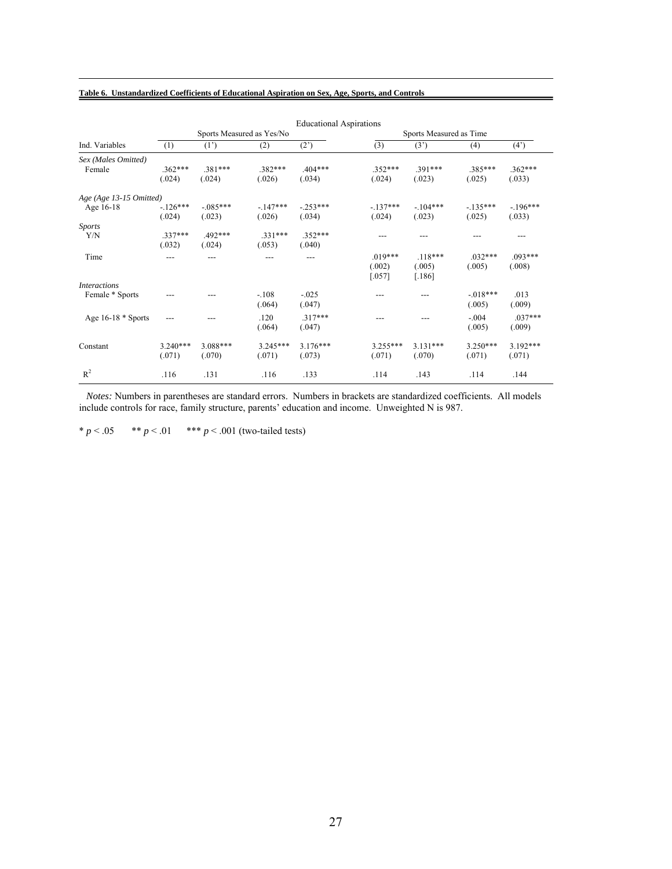#### **Table 6. Unstandardized Coefficients of Educational Aspiration on Sex, Age, Sports, and Controls**

| <b>Educational Aspirations</b> |                                     |                            |                                                                                       |                                                               |                                                                        |                                                                        |                                                                       |  |  |  |  |  |
|--------------------------------|-------------------------------------|----------------------------|---------------------------------------------------------------------------------------|---------------------------------------------------------------|------------------------------------------------------------------------|------------------------------------------------------------------------|-----------------------------------------------------------------------|--|--|--|--|--|
|                                |                                     |                            |                                                                                       | Sports Measured as Time                                       |                                                                        |                                                                        |                                                                       |  |  |  |  |  |
| (1)                            | (1')                                | (2)                        | (2)                                                                                   | (3)                                                           | (3')                                                                   | (4)                                                                    | $(4^{\prime})$                                                        |  |  |  |  |  |
|                                |                                     |                            |                                                                                       |                                                               |                                                                        |                                                                        |                                                                       |  |  |  |  |  |
| $.362***$                      | $.381***$                           | .382***                    | .404***                                                                               | .352***                                                       | $.391***$                                                              | $.385***$                                                              | $.362***$                                                             |  |  |  |  |  |
| (.024)                         | (.024)                              | (.026)                     | (.034)                                                                                | (.024)                                                        | (.023)                                                                 | (.025)                                                                 | (.033)                                                                |  |  |  |  |  |
| Age (Age 13-15 Omitted)        |                                     |                            |                                                                                       |                                                               |                                                                        |                                                                        |                                                                       |  |  |  |  |  |
| $-126***$                      | $-.085***$                          | $-147***$                  | $-.253***$                                                                            | $-137***$                                                     | $-.104***$                                                             | $-135***$                                                              | $-.196***$                                                            |  |  |  |  |  |
| (.024)                         | (.023)                              | (.026)                     | (.034)                                                                                | (.024)                                                        | (.023)                                                                 | (.025)                                                                 | (.033)                                                                |  |  |  |  |  |
|                                |                                     |                            |                                                                                       |                                                               |                                                                        |                                                                        |                                                                       |  |  |  |  |  |
| $.337***$                      | 492***                              | $.331***$                  | $.352***$                                                                             |                                                               |                                                                        |                                                                        |                                                                       |  |  |  |  |  |
| (.032)                         | (.024)                              | (.053)                     | (.040)                                                                                |                                                               |                                                                        |                                                                        |                                                                       |  |  |  |  |  |
| ---                            |                                     |                            | ---                                                                                   |                                                               |                                                                        | $.032***$                                                              | $.093***$                                                             |  |  |  |  |  |
|                                |                                     |                            |                                                                                       |                                                               |                                                                        |                                                                        | (.008)                                                                |  |  |  |  |  |
|                                |                                     |                            |                                                                                       |                                                               |                                                                        |                                                                        |                                                                       |  |  |  |  |  |
|                                |                                     |                            |                                                                                       |                                                               |                                                                        |                                                                        |                                                                       |  |  |  |  |  |
|                                |                                     | $-.108$                    | $-.025$                                                                               | ---                                                           | ---                                                                    | $-018***$                                                              | .013                                                                  |  |  |  |  |  |
|                                |                                     |                            |                                                                                       |                                                               |                                                                        |                                                                        | (.009)                                                                |  |  |  |  |  |
|                                |                                     |                            |                                                                                       |                                                               |                                                                        |                                                                        | $.037***$                                                             |  |  |  |  |  |
|                                |                                     |                            |                                                                                       |                                                               |                                                                        |                                                                        |                                                                       |  |  |  |  |  |
|                                |                                     |                            |                                                                                       |                                                               |                                                                        |                                                                        | (.009)                                                                |  |  |  |  |  |
|                                |                                     |                            |                                                                                       |                                                               |                                                                        |                                                                        | $3.192***$                                                            |  |  |  |  |  |
|                                |                                     |                            |                                                                                       |                                                               |                                                                        |                                                                        | (.071)                                                                |  |  |  |  |  |
|                                |                                     |                            |                                                                                       |                                                               |                                                                        |                                                                        |                                                                       |  |  |  |  |  |
|                                |                                     |                            |                                                                                       |                                                               |                                                                        |                                                                        | .144                                                                  |  |  |  |  |  |
|                                | ---<br>$3.240***$<br>(.071)<br>.116 | 3.088***<br>(.070)<br>.131 | Sports Measured as Yes/No<br>(.064)<br>.120<br>(.064)<br>$3.245***$<br>(.071)<br>.116 | (.047)<br>$.317***$<br>(.047)<br>$3.176***$<br>(.073)<br>.133 | $.019***$<br>(.002)<br>$[.057]$<br>---<br>$3.255***$<br>(.071)<br>.114 | $.118***$<br>(.005)<br>$[.186]$<br>---<br>$3.131***$<br>(.070)<br>.143 | (.005)<br>(.005)<br>$-.004$<br>(.005)<br>$3.250***$<br>(.071)<br>.114 |  |  |  |  |  |

*Notes:* Numbers in parentheses are standard errors. Numbers in brackets are standardized coefficients. All models include controls for race, family structure, parents' education and income. Unweighted N is 987.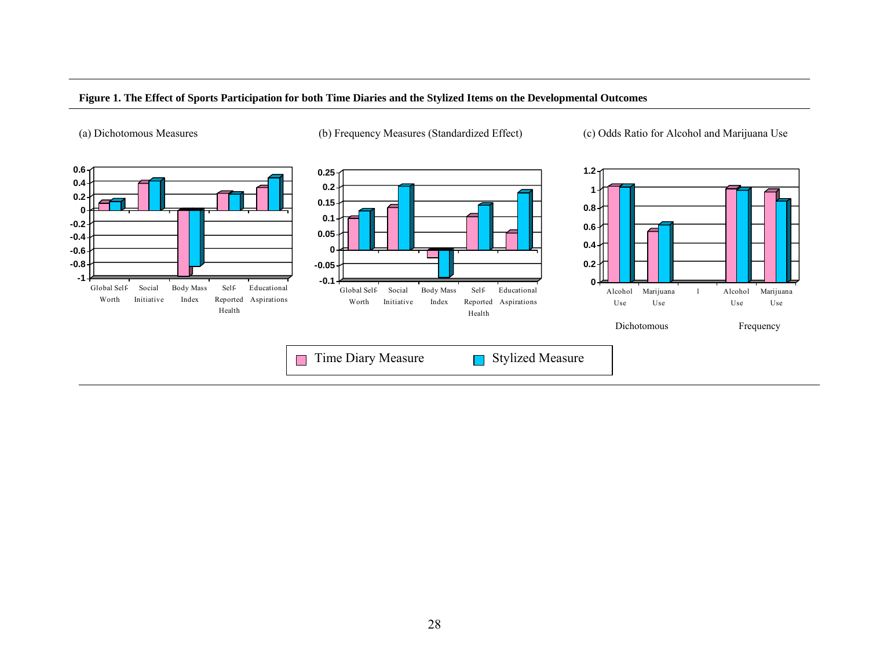

#### **Figure 1. The Effect of Sports Participation for both Time Diaries and the Stylized Items on the Developmental Outcomes**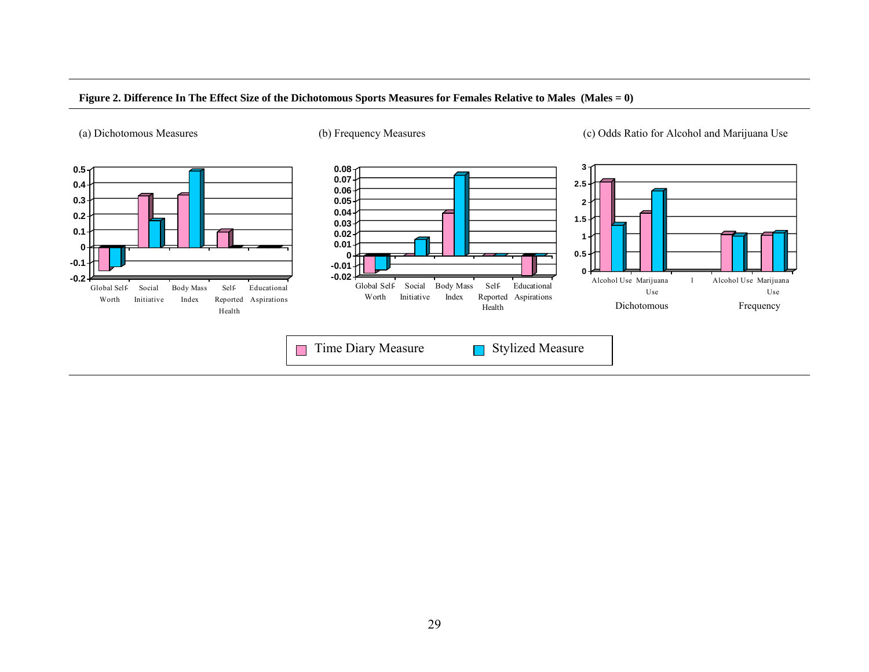

#### **Figure 2. Difference In The Effect Size of the Dichotomous Sports Measures for Females Relative to Males (Males = 0)**